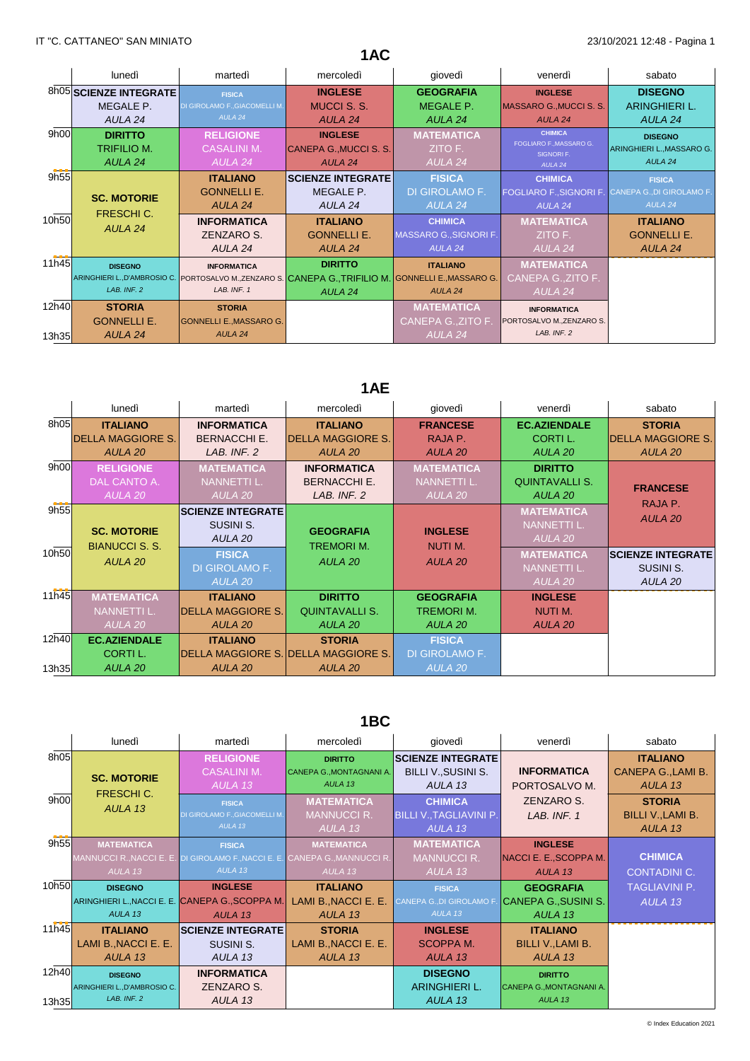|                |                                                 |                                                                                                                                            | 1AC                                                 |                                                     |                                                                                |                                                        |
|----------------|-------------------------------------------------|--------------------------------------------------------------------------------------------------------------------------------------------|-----------------------------------------------------|-----------------------------------------------------|--------------------------------------------------------------------------------|--------------------------------------------------------|
|                | lunedì                                          | martedì                                                                                                                                    | mercoledì                                           | giovedì                                             | venerdì                                                                        | sabato                                                 |
|                | 8h05 SCIENZE INTEGRATE<br>MEGALE P.<br>AULA 24  | <b>FISICA</b><br>DI GIROLAMO F., GIACOMELLI M.<br>AULA 24                                                                                  | <b>INGLESE</b><br>MUCCI S. S.<br>AULA 24            | <b>GEOGRAFIA</b><br>MEGALE P.<br>AULA 24            | <b>INGLESE</b><br>MASSARO G., MUCCI S. S.<br>AULA <sub>24</sub>                | <b>DISEGNO</b><br>ARINGHIERI L.<br>AULA 24             |
| 9h00           | <b>DIRITTO</b><br><b>TRIFILIO M.</b><br>AULA 24 | <b>RELIGIONE</b><br><b>CASALINI M.</b><br>AULA 24                                                                                          | <b>INGLESE</b><br>CANEPA G., MUCCI S. S.<br>AULA 24 | <b>MATEMATICA</b><br>ZITO F.<br>AULA 24             | <b>CHIMICA</b><br><b>FOGLIARO F., MASSARO G.</b><br>SIGNORI F.<br>AULA 24      | <b>DISEGNO</b><br>ARINGHIERI L., MASSARO G.<br>AULA 24 |
| 9h55           | <b>SC. MOTORIE</b>                              | <b>ITALIANO</b><br><b>GONNELLI E.</b><br>AULA 24                                                                                           | <b>SCIENZE INTEGRATE</b><br>MEGALE P.<br>AULA 24    | <b>FISICA</b><br>DI GIROLAMO F.<br>AULA 24          | <b>CHIMICA</b><br>FOGLIARO F., SIGNORI F. CANEPA G., DI GIROLAMO F.<br>AULA 24 | <b>FISICA</b><br>AULA <sub>24</sub>                    |
| 10h50          | <b>FRESCHIC.</b><br>AULA 24                     | <b>INFORMATICA</b><br>ZENZARO S.<br>AULA 24                                                                                                | <b>ITALIANO</b><br><b>GONNELLI E.</b><br>AULA 24    | <b>CHIMICA</b><br>MASSARO G., SIGNORI F.<br>AULA 24 | <b>MATEMATICA</b><br>ZITO F.<br>AULA 24                                        | <b>ITALIANO</b><br><b>GONNELLI E.</b><br>AULA 24       |
| 11h45          | <b>DISEGNO</b><br>LAB. INF. 2                   | <b>INFORMATICA</b><br>ARINGHIERI L., D'AMBROSIO C. PORTOSALVO M., ZENZARO S. CANEPA G., TRIFILIO M. GONNELLI E., MASSARO G.<br>LAB. INF. 1 | <b>DIRITTO</b><br>AULA 24                           | <b>ITALIANO</b><br>AULA <sub>24</sub>               | <b>MATEMATICA</b><br>CANEPA G., ZITO F.<br>AULA 24                             |                                                        |
| 12h40<br>13h35 | <b>STORIA</b><br><b>GONNELLI E.</b><br>AULA 24  | <b>STORIA</b><br><b>GONNELLI E., MASSARO G.</b><br>AULA <sub>24</sub>                                                                      |                                                     | <b>MATEMATICA</b><br>CANEPA G., ZITO F.<br>AULA 24  | <b>INFORMATICA</b><br>PORTOSALVO M., ZENZARO S.<br>LAB. INF. 2                 |                                                        |

# **1AE**

| lunedì                                     | martedì                                                                                                            | mercoledì             | giovedì                                                                     | venerdì                                                                                   | sabato                   |
|--------------------------------------------|--------------------------------------------------------------------------------------------------------------------|-----------------------|-----------------------------------------------------------------------------|-------------------------------------------------------------------------------------------|--------------------------|
| <b>ITALIANO</b>                            | <b>INFORMATICA</b>                                                                                                 | <b>ITALIANO</b>       | <b>FRANCESE</b>                                                             | <b>EC.AZIENDALE</b>                                                                       | <b>STORIA</b>            |
|                                            | <b>BERNACCHI E.</b>                                                                                                |                       | RAJA P.                                                                     | <b>CORTIL.</b>                                                                            | <b>DELLA MAGGIORE S.</b> |
| AULA 20                                    | LAB. INF. 2                                                                                                        | AULA 20               | AULA 20                                                                     | AULA 20                                                                                   | AULA 20                  |
| <b>RELIGIONE</b>                           | <b>MATEMATICA</b>                                                                                                  | <b>INFORMATICA</b>    | <b>MATEMATICA</b>                                                           | <b>DIRITTO</b>                                                                            |                          |
| DAL CANTO A.                               | <b>NANNETTI L.</b>                                                                                                 | <b>BERNACCHI E.</b>   | <b>NANNETTI L.</b>                                                          | <b>QUINTAVALLI S.</b>                                                                     | <b>FRANCESE</b>          |
| AULA 20                                    | AULA 20                                                                                                            | LAB. INF. 2           | AULA 20                                                                     | AULA 20                                                                                   |                          |
|                                            | <b>SCIENZE INTEGRATE</b>                                                                                           |                       |                                                                             | <b>MATEMATICA</b>                                                                         | RAJA P.<br>AULA 20       |
|                                            | SUSINI S.                                                                                                          |                       |                                                                             | <b>NANNETTI L.</b>                                                                        |                          |
|                                            | AULA 20                                                                                                            |                       |                                                                             | AULA 20                                                                                   |                          |
| <b>FISICA</b><br>AULA 20<br>DI GIROLAMO F. |                                                                                                                    |                       | <b>MATEMATICA</b>                                                           | <b>SCIENZE INTEGRATE</b>                                                                  |                          |
|                                            |                                                                                                                    |                       |                                                                             | NANNETTI L.                                                                               | SUSINI S.                |
|                                            | AULA 20                                                                                                            |                       |                                                                             | AULA 20                                                                                   | AULA 20                  |
| <b>MATEMATICA</b>                          | <b>ITALIANO</b>                                                                                                    | <b>DIRITTO</b>        | <b>GEOGRAFIA</b>                                                            | <b>INGLESE</b>                                                                            |                          |
| NANNETTI L.                                | <b>DELLA MAGGIORE S.</b>                                                                                           | <b>QUINTAVALLI S.</b> | tremori m.                                                                  | NUTI M.                                                                                   |                          |
| AULA 20                                    | AULA 20                                                                                                            | AULA 20               | AULA 20                                                                     | AULA 20                                                                                   |                          |
| <b>EC.AZIENDALE</b>                        | <b>ITALIANO</b>                                                                                                    | <b>STORIA</b>         | <b>FISICA</b>                                                               |                                                                                           |                          |
| CORTI L.                                   |                                                                                                                    |                       | DI GIROLAMO F.                                                              |                                                                                           |                          |
| AULA <sub>20</sub>                         | AULA 20                                                                                                            | AULA 20               | <b>AULA 20</b>                                                              |                                                                                           |                          |
| 9h55<br>10h50                              | 8h05<br><b>DELLA MAGGIORE S.</b><br>9h00<br><b>SC. MOTORIE</b><br><b>BIANUCCI S. S.</b><br>11h45<br>12h40<br>13h35 |                       | <b>DELLA MAGGIORE S.</b><br><b>GEOGRAFIA</b><br><b>TREMORIM.</b><br>AULA 20 | <b>INGLESE</b><br>NUTI M.<br><b>AULA 20</b><br><b>DELLA MAGGIORE S. DELLA MAGGIORE S.</b> |                          |

## **1BC**

|                | lunedì                                                        | martedì                                                                                 | mercoledì                                                                                                              | giovedì                                                                | venerdì                                                          | sabato                                                  |
|----------------|---------------------------------------------------------------|-----------------------------------------------------------------------------------------|------------------------------------------------------------------------------------------------------------------------|------------------------------------------------------------------------|------------------------------------------------------------------|---------------------------------------------------------|
| 8h05           | <b>SC. MOTORIE</b>                                            | <b>RELIGIONE</b><br><b>CASALINI M.</b><br>AULA 13                                       | <b>DIRITTO</b><br>CANEPA G., MONTAGNANI A.<br>AULA <sub>13</sub>                                                       | <b>SCIENZE INTEGRATE</b><br><b>BILLI V., SUSINI S.</b><br>AULA 13      | <b>INFORMATICA</b><br>PORTOSALVO M.                              | <b>ITALIANO</b><br><b>CANEPA G., LAMI B.</b><br>AULA 13 |
| 9h00           | FRESCHI C.<br>AULA 13                                         | <b>FISICA</b><br>DI GIROLAMO F., GIACOMELLI M.<br>AULA <sub>13</sub>                    | <b>MATEMATICA</b><br><b>MANNUCCI R.</b><br>AULA 13                                                                     | <b>CHIMICA</b><br><b>BILLI V., TAGLIAVINI P.</b><br>AULA 13            | ZENZARO S.<br>LAB. INF. 1                                        | <b>STORIA</b><br>BILLI V., LAMI B.<br>AULA 13           |
| 9h55           | <b>MATEMATICA</b><br>AULA <sub>13</sub>                       | <b>FISICA</b><br>AULA 13                                                                | <b>MATEMATICA</b><br>MANNUCCI R., NACCI E. E. DI GIROLAMO F., NACCI E. E. CANEPA G., MANNUCCI R.<br>AULA <sub>13</sub> | <b>MATEMATICA</b><br><b>MANNUCCI R.</b><br>AULA 13                     | <b>INGLESE</b><br>NACCI E. E., SCOPPA M.<br>AULA 13              | <b>CHIMICA</b><br><b>CONTADINI C.</b>                   |
| 10h50          | <b>DISEGNO</b><br>AULA 13                                     | <b>INGLESE</b><br>ARINGHIERI L., NACCI E. E. CANEPA G., SCOPPA M.<br>AULA <sub>13</sub> | <b>ITALIANO</b><br>LAMI B., NACCI E. E.<br>AULA 13                                                                     | <b>FISICA</b><br><b>CANEPA G., DI GIROLAMO F</b><br>AULA <sub>13</sub> | <b>GEOGRAFIA</b><br>CANEPA G., SUSINI S.<br>AULA 13              | <b>TAGLIAVINI P.</b><br>AULA 13                         |
| 11h45          | <b>ITALIANO</b><br>LAMI B., NACCI E. E.<br>AULA 13            | <b>SCIENZE INTEGRATE</b><br>SUSINI S.<br>AULA 13                                        | <b>STORIA</b><br>LAMI B., NACCI E. E.<br>AULA 13                                                                       | <b>INGLESE</b><br><b>SCOPPAM.</b><br>AULA 13                           | <b>ITALIANO</b><br><b>BILLI V., LAMI B.</b><br>AULA 13           |                                                         |
| 12h40<br>13h35 | <b>DISEGNO</b><br>ARINGHIERI L., D'AMBROSIO C.<br>LAB. INF. 2 | <b>INFORMATICA</b><br>ZENZARO S.<br>AULA 13                                             |                                                                                                                        | <b>DISEGNO</b><br>ARINGHIERI L.<br>AULA 13                             | <b>DIRITTO</b><br>CANEPA G., MONTAGNANI A.<br>AULA <sub>13</sub> |                                                         |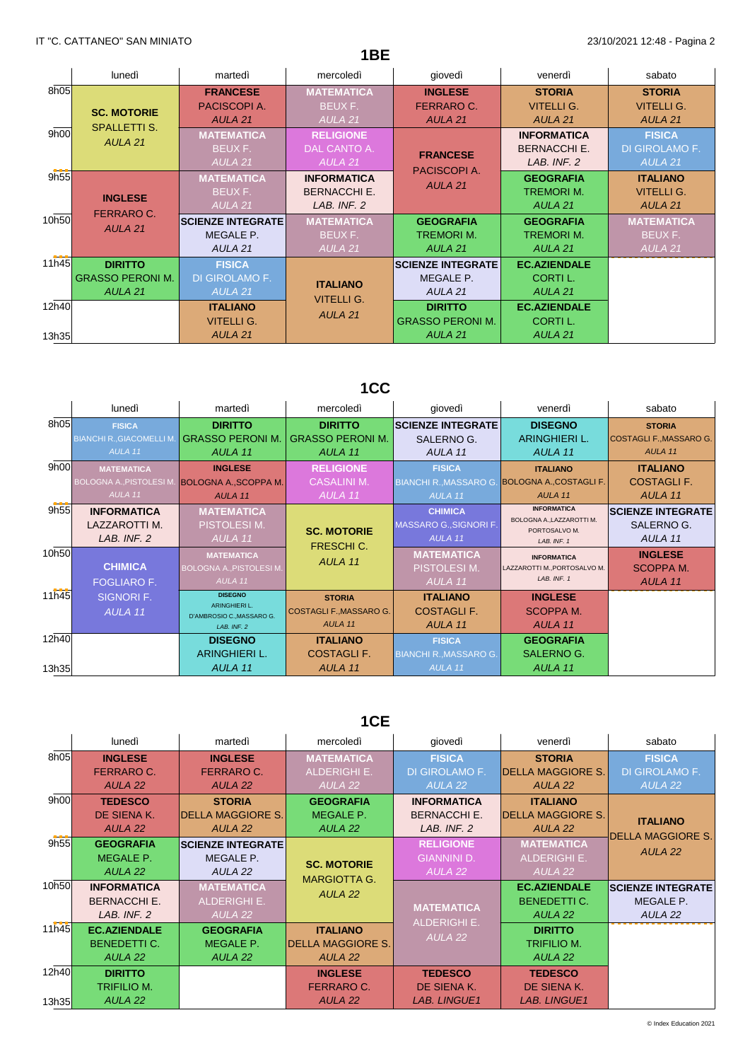|                |                                                                 |                                                             | 1BE                                                      |                                                                 |                                                            |                                                            |
|----------------|-----------------------------------------------------------------|-------------------------------------------------------------|----------------------------------------------------------|-----------------------------------------------------------------|------------------------------------------------------------|------------------------------------------------------------|
|                | lunedì                                                          | martedì                                                     | mercoledì                                                | giovedì                                                         | venerdì                                                    | sabato                                                     |
| 8h05           | <b>SC. MOTORIE</b>                                              | <b>FRANCESE</b><br>PACISCOPI A.<br>AULA <sub>21</sub>       | <b>MATEMATICA</b><br>BEUX F.<br>AULA <sub>21</sub>       | <b>INGLESE</b><br><b>FERRARO C.</b><br>AULA <sub>21</sub>       | <b>STORIA</b><br><b>VITELLI G.</b><br>AULA <sub>21</sub>   | <b>STORIA</b><br><b>VITELLI G.</b><br>AULA 21              |
| 9h00           | <b>SPALLETTI S.</b><br>AULA <sub>21</sub>                       | <b>MATEMATICA</b><br>BEUX F.<br>AULA <sub>21</sub>          | <b>RELIGIONE</b><br>DAL CANTO A.<br>AULA 21              | <b>FRANCESE</b>                                                 | <b>INFORMATICA</b><br><b>BERNACCHI E.</b><br>LAB. INF. 2   | <b>FISICA</b><br>DI GIROLAMO F.<br>AULA <sub>21</sub>      |
| 9h55           | <b>INGLESE</b>                                                  | <b>MATEMATICA</b><br>BEUX F.<br>AULA <sub>21</sub>          | <b>INFORMATICA</b><br><b>BERNACCHI E.</b><br>LAB. INF. 2 | PACISCOPI A.<br>AULA <sub>21</sub>                              | <b>GEOGRAFIA</b><br><b>TREMORIM.</b><br>AULA <sub>21</sub> | <b>ITALIANO</b><br><b>VITELLI G.</b><br>AULA <sub>21</sub> |
| 10h50          | <b>FERRARO C.</b><br>AULA <sub>21</sub>                         | <b>SCIENZE INTEGRATE</b><br>MEGALE P.<br>AULA <sub>21</sub> | <b>MATEMATICA</b><br>BEUX F.<br>AULA <sub>21</sub>       | <b>GEOGRAFIA</b><br><b>TREMORIM.</b><br>AULA <sub>21</sub>      | <b>GEOGRAFIA</b><br><b>TREMORIM.</b><br>AULA 21            | <b>MATEMATICA</b><br>BEUX F.<br>AULA <sub>21</sub>         |
| 11h45          | <b>DIRITTO</b><br><b>GRASSO PERONI M.</b><br>AULA <sub>21</sub> | <b>FISICA</b><br>DI GIROLAMO F.<br>AULA <sub>21</sub>       | <b>ITALIANO</b>                                          | <b>SCIENZE INTEGRATE</b><br>MEGALE P.<br>AULA <sub>21</sub>     | <b>EC.AZIENDALE</b><br>CORTI L.<br>AULA 21                 |                                                            |
| 12h40<br>13h35 |                                                                 | <b>ITALIANO</b><br><b>VITELLI G.</b><br>AULA <sub>21</sub>  | <b>VITELLI G.</b><br>AULA <sub>21</sub>                  | <b>DIRITTO</b><br><b>GRASSO PERONI M.</b><br>AULA <sub>21</sub> | <b>EC.AZIENDALE</b><br>CORTI L.<br>AULA 21                 |                                                            |

# **1CC**

| lunedì             | martedì                                                                             | mercoledì                                  | giovedì                                                                                                    | venerdì                      | sabato                                                                                                                                                    |
|--------------------|-------------------------------------------------------------------------------------|--------------------------------------------|------------------------------------------------------------------------------------------------------------|------------------------------|-----------------------------------------------------------------------------------------------------------------------------------------------------------|
| <b>FISICA</b>      | <b>DIRITTO</b>                                                                      | <b>DIRITTO</b>                             |                                                                                                            | <b>DISEGNO</b>               | <b>STORIA</b>                                                                                                                                             |
|                    | <b>GRASSO PERONI M.</b>                                                             | <b>GRASSO PERONI M.</b>                    | SALERNO G.                                                                                                 | ARINGHIERI L.                | COSTAGLI F., MASSARO G.                                                                                                                                   |
| AULA 11            | AULA 11                                                                             | AULA 11                                    | AULA <sub>11</sub>                                                                                         | AULA 11                      | AULA <sub>11</sub>                                                                                                                                        |
| <b>MATEMATICA</b>  | <b>INGLESE</b>                                                                      | <b>RELIGIONE</b>                           | <b>FISICA</b>                                                                                              | <b>ITALIANO</b>              | <b>ITALIANO</b>                                                                                                                                           |
|                    |                                                                                     | <b>CASALINI M.</b>                         |                                                                                                            |                              | <b>COSTAGLI F.</b>                                                                                                                                        |
| AULA <sub>11</sub> | AULA <sub>11</sub>                                                                  | AULA 11                                    | AULA <sub>11</sub>                                                                                         | AULA <sub>11</sub>           | AULA 11                                                                                                                                                   |
| <b>INFORMATICA</b> | <b>MATEMATICA</b>                                                                   |                                            | <b>CHIMICA</b>                                                                                             | <b>INFORMATICA</b>           | <b>SCIENZE INTEGRATE</b>                                                                                                                                  |
| LAZZAROTTI M.      | PISTOLESI M.                                                                        |                                            |                                                                                                            |                              | SALERNO G.                                                                                                                                                |
| LAB. INF. 2        | AULA 11                                                                             |                                            | AULA 11                                                                                                    | LAB, INF. 1                  | AULA 11                                                                                                                                                   |
|                    | <b>MATEMATICA</b>                                                                   |                                            | <b>MATEMATICA</b>                                                                                          | <b>INFORMATICA</b>           | <b>INGLESE</b>                                                                                                                                            |
| <b>CHIMICA</b>     | <b>BOLOGNA A., PISTOLESI M.</b>                                                     |                                            | <b>PISTOLESIM.</b>                                                                                         | LAZZAROTTI M., PORTOSALVO M. | SCOPPA M.                                                                                                                                                 |
| <b>FOGLIARO F.</b> | AULA <sub>11</sub>                                                                  |                                            | AULA 11                                                                                                    | LAB, INF. 1                  | AULA 11                                                                                                                                                   |
| SIGNORI F.         | <b>DISEGNO</b>                                                                      | <b>STORIA</b>                              | <b>ITALIANO</b>                                                                                            | <b>INGLESE</b>               |                                                                                                                                                           |
| AULA 11            |                                                                                     | COSTAGLI F., MASSARO G.                    | <b>COSTAGLI F.</b>                                                                                         | SCOPPA M.                    |                                                                                                                                                           |
|                    | LAB, INF. 2                                                                         | AULA 11                                    | AULA 11                                                                                                    | AULA 11                      |                                                                                                                                                           |
|                    | <b>DISEGNO</b>                                                                      | <b>ITALIANO</b>                            | <b>FISICA</b>                                                                                              | <b>GEOGRAFIA</b>             |                                                                                                                                                           |
|                    | ARINGHIERI L.                                                                       | <b>COSTAGLIF.</b>                          |                                                                                                            | SALERNO G.                   |                                                                                                                                                           |
|                    | AULA 11                                                                             | AULA 11                                    | AULA <sub>11</sub>                                                                                         | AULA 11                      |                                                                                                                                                           |
| 12h40              | 8h05<br><b>BIANCHI R., GIACOMELLI M.</b><br>9h00<br>9h55<br>10h50<br>11h45<br>13h35 | ARINGHIERI L.<br>D'AMBROSIO C., MASSARO G. | <b>BOLOGNA A., PISTOLESI M. BOLOGNA A., SCOPPA M.</b><br><b>SC. MOTORIE</b><br><b>FRESCHIC.</b><br>AULA 11 | MASSARO G., SIGNORI F.       | <b>SCIENZE INTEGRATE</b><br>BIANCHI R., MASSARO G. BOLOGNA A., COSTAGLI F.<br>BOLOGNA A., LAZZAROTTI M.<br>PORTOSALVO M.<br><b>BIANCHI R., MASSARO G.</b> |

# **1CE**

|       | lunedì              | martedì                   | mercoledì                      | giovedì             | venerdì                  | sabato                   |
|-------|---------------------|---------------------------|--------------------------------|---------------------|--------------------------|--------------------------|
| 8h05  | <b>INGLESE</b>      | <b>INGLESE</b>            | <b>MATEMATICA</b>              | <b>FISICA</b>       | <b>STORIA</b>            | <b>FISICA</b>            |
|       | <b>FERRARO C.</b>   | <b>FERRARO C.</b>         | <b>ALDERIGHI E.</b>            | DI GIROLAMO F.      | <b>DELLA MAGGIORE S.</b> | DI GIROLAMO F.           |
|       | AULA 22             | AULA <sub>22</sub>        | AULA <sub>22</sub>             | AULA <sub>22</sub>  | AULA 22                  | AULA <sub>22</sub>       |
| 9h00  | <b>TEDESCO</b>      | <b>STORIA</b>             | <b>GEOGRAFIA</b>               | <b>INFORMATICA</b>  | <b>ITALIANO</b>          |                          |
|       | DE SIENA K.         | <b>IDELLA MAGGIORE S.</b> | <b>MEGALE P.</b>               | <b>BERNACCHI E.</b> | <b>DELLA MAGGIORE S.</b> | <b>ITALIANO</b>          |
|       | AULA 22             | AULA <sub>22</sub>        | AULA 22                        | LAB. INF. 2         | AULA 22                  |                          |
| 9h55  | <b>GEOGRAFIA</b>    | <b>SCIENZE INTEGRATE</b>  |                                | <b>RELIGIONE</b>    | <b>MATEMATICA</b>        | <b>DELLA MAGGIORE S.</b> |
|       | <b>MEGALE P.</b>    | MEGALE P.                 | <b>SC. MOTORIE</b>             | <b>GIANNINI D.</b>  | <b>ALDERIGHI E.</b>      | AULA 22                  |
|       | AULA 22             | AULA 22                   |                                | AULA 22             | AULA 22                  |                          |
| 10h50 | <b>INFORMATICA</b>  | <b>MATEMATICA</b>         | <b>MARGIOTTA G.</b><br>AULA 22 |                     | <b>EC.AZIENDALE</b>      | <b>SCIENZE INTEGRATE</b> |
|       | <b>BERNACCHI E.</b> | <b>ALDERIGHI E.</b>       |                                | <b>MATEMATICA</b>   | <b>BENEDETTI C.</b>      | MEGALE P.                |
|       | LAB. INF. 2         | AULA <sub>22</sub>        |                                | <b>ALDERIGHI E.</b> | AULA 22                  | AULA 22                  |
| 11h45 | <b>EC.AZIENDALE</b> | <b>GEOGRAFIA</b>          | <b>ITALIANO</b>                |                     | <b>DIRITTO</b>           |                          |
|       | <b>BENEDETTI C.</b> | <b>MEGALE P.</b>          | <b>DELLA MAGGIORE S.</b>       | AULA <sub>22</sub>  | <b>TRIFILIO M.</b>       |                          |
|       | AULA 22             | AULA 22                   | AULA 22                        |                     | AULA 22                  |                          |
| 12h40 | <b>DIRITTO</b>      |                           | <b>INGLESE</b>                 | <b>TEDESCO</b>      | <b>TEDESCO</b>           |                          |
|       | TRIFILIO M.         |                           | <b>FERRARO C.</b>              | DE SIENA K.         | DE SIENA K.              |                          |
| 13h35 | AULA 22             |                           | AULA 22                        | <b>LAB. LINGUE1</b> | <b>LAB. LINGUE1</b>      |                          |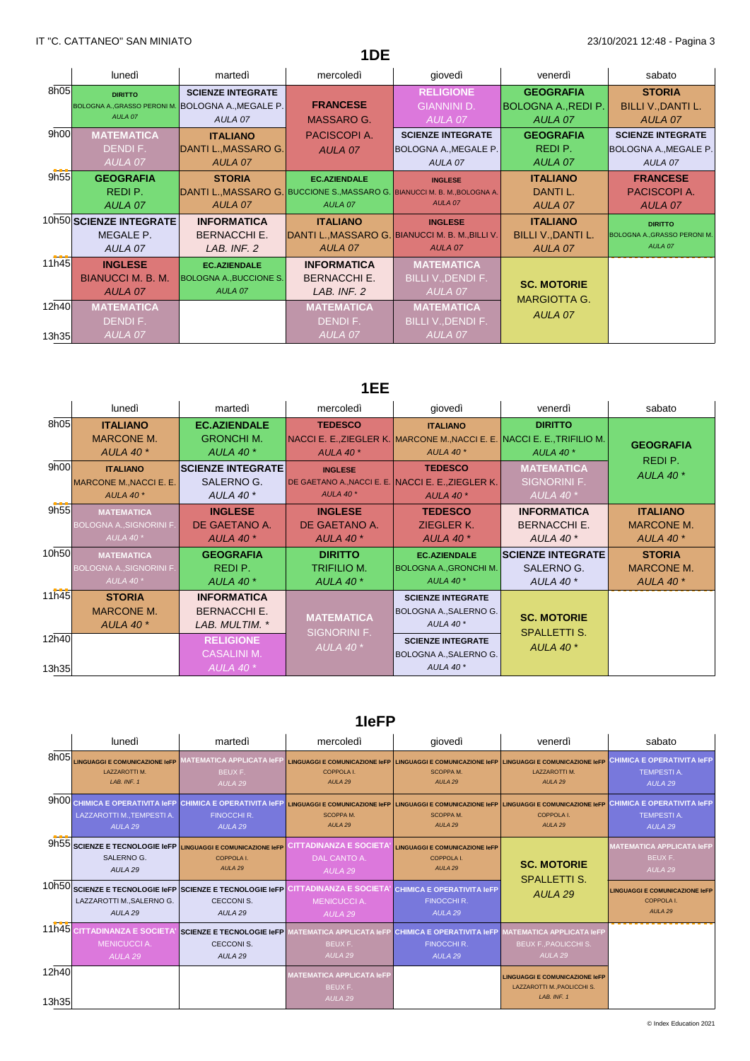|       | lunedì                  | martedì                                            | mercoledì                                                                  | giovedì                                          | venerdì                    | sabato                             |
|-------|-------------------------|----------------------------------------------------|----------------------------------------------------------------------------|--------------------------------------------------|----------------------------|------------------------------------|
| 8h05  | <b>DIRITTO</b>          | <b>SCIENZE INTEGRATE</b>                           |                                                                            | <b>RELIGIONE</b>                                 | <b>GEOGRAFIA</b>           | <b>STORIA</b>                      |
|       |                         | BOLOGNA A., GRASSO PERONI M. BOLOGNA A., MEGALE P. | <b>FRANCESE</b>                                                            | <b>GIANNINI D.</b>                               | <b>BOLOGNA A., REDI P.</b> | <b>BILLI V., DANTI L.</b>          |
|       | AULA 07                 | AULA 07                                            | MASSARO G.                                                                 | AULA 07                                          | AULA 07                    | AULA 07                            |
| 9h00  | <b>MATEMATICA</b>       | <b>ITALIANO</b>                                    | PACISCOPI A.                                                               | <b>SCIENZE INTEGRATE</b>                         | <b>GEOGRAFIA</b>           | <b>SCIENZE INTEGRATE</b>           |
|       | DENDIF.                 | DANTI L., MASSARO G.                               | AULA 07                                                                    | <b>BOLOGNA A., MEGALE P.</b>                     | REDI P.                    | <b>BOLOGNA A., MEGALE P.</b>       |
|       | AULA 07                 | AULA 07                                            |                                                                            | AULA 07                                          | AULA 07                    | AULA 07                            |
| 9h55  | <b>GEOGRAFIA</b>        | <b>STORIA</b>                                      | <b>EC.AZIENDALE</b>                                                        | <b>INGLESE</b>                                   | <b>ITALIANO</b>            | <b>FRANCESE</b>                    |
|       | REDI P.                 |                                                    | DANTI L., MASSARO G. BUCCIONE S., MASSARO G. BIANUCCI M. B. M., BOLOGNA A. |                                                  | DANTI L.                   | PACISCOPI A.                       |
|       | AULA 07                 | AULA 07                                            | AULA 07                                                                    | AULA 07                                          | AULA 07                    | AULA 07                            |
|       | 10h50 SCIENZE INTEGRATE | <b>INFORMATICA</b>                                 | <b>ITALIANO</b>                                                            | <b>INGLESE</b>                                   | <b>ITALIANO</b>            | <b>DIRITTO</b>                     |
|       | MEGALE P.               | <b>BERNACCHI E.</b>                                |                                                                            | DANTI L., MASSARO G. BIANUCCI M. B. M., BILLI V. | <b>BILLI V., DANTI L.</b>  | <b>BOLOGNA A., GRASSO PERONI M</b> |
|       | AULA 07                 | LAB. INF. 2                                        | AULA 07                                                                    | AULA 07                                          | AULA 07                    | AULA 07                            |
| 11h45 | <b>INGLESE</b>          | <b>EC.AZIENDALE</b>                                | <b>INFORMATICA</b>                                                         | <b>MATEMATICA</b>                                |                            |                                    |
|       | BIANUCCI M. B. M.       | <b>BOLOGNA A., BUCCIONE S.</b>                     | <b>BERNACCHI E.</b>                                                        | BILLI V., DENDI F.                               | <b>SC. MOTORIE</b>         |                                    |
|       | AULA 07                 | AULA 07                                            | LAB. INF. 2                                                                | AULA 07                                          | <b>MARGIOTTA G.</b>        |                                    |
| 12h40 | <b>MATEMATICA</b>       |                                                    | <b>MATEMATICA</b>                                                          | <b>MATEMATICA</b>                                |                            |                                    |
|       | DENDIF.                 |                                                    | DENDI F.                                                                   | <b>BILLI V., DENDI F.</b>                        | AULA 07                    |                                    |
| 13h35 | <b>AULA 07</b>          |                                                    | AULA 07                                                                    | AULA 07                                          |                            |                                    |

**1DE**

# **1EE**

|                | lunedì                                                                       | martedì                                                      | mercoledì                                             | giovedì                                                                                                    | venerdì                                                    | sabato                                                   |
|----------------|------------------------------------------------------------------------------|--------------------------------------------------------------|-------------------------------------------------------|------------------------------------------------------------------------------------------------------------|------------------------------------------------------------|----------------------------------------------------------|
| 8h05           | <b>ITALIANO</b><br><b>MARCONE M.</b><br><b>AULA 40 *</b>                     | <b>EC.AZIENDALE</b><br><b>GRONCHI M.</b><br><b>AULA 40 *</b> | <b>TEDESCO</b><br><b>AULA 40 *</b>                    | <b>ITALIANO</b><br>NACCI E. E., ZIEGLER K. MARCONE M., NACCI E. E. NACCI E. E., TRIFILIO M.<br>AULA 40 $*$ | <b>DIRITTO</b><br><b>AULA 40 *</b>                         | <b>GEOGRAFIA</b><br>REDI P.                              |
| 9h00           | <b>ITALIANO</b><br>MARCONE M., NACCI E. E.<br>AULA 40 $*$                    | <b>SCIENZE INTEGRATE</b><br>SALERNO G.<br><b>AULA 40 *</b>   | <b>INGLESE</b><br>AULA 40 $*$                         | <b>TEDESCO</b><br>DE GAETANO A., NACCI E. E. NACCI E. E., ZIEGLER K.<br>AULA 40 $*$                        | <b>MATEMATICA</b><br>SIGNORINI F.<br>AULA 40 $*$           | <b>AULA 40 *</b>                                         |
| 9h55           | <b>MATEMATICA</b><br><b>BOLOGNA A., SIGNORINI F.</b><br>AULA 40 <sup>*</sup> | <b>INGLESE</b><br>DE GAETANO A.<br><b>AULA 40 *</b>          | <b>INGLESE</b><br>DE GAETANO A.<br>AULA 40 $*$        | <b>TEDESCO</b><br>ZIEGLER K.<br>AULA 40 $*$                                                                | <b>INFORMATICA</b><br><b>BERNACCHI E.</b><br>AULA 40 *     | <b>ITALIANO</b><br><b>MARCONE M.</b><br><b>AULA 40 *</b> |
| 10h50          | <b>MATEMATICA</b><br><b>BOLOGNA A., SIGNORINI F.</b><br><b>AULA 40 *</b>     | <b>GEOGRAFIA</b><br>REDI P.<br><b>AULA 40 *</b>              | <b>DIRITTO</b><br>TRIFILIO M.<br>AULA 40 <sup>*</sup> | <b>EC.AZIENDALE</b><br><b>BOLOGNA A., GRONCHI M.</b><br>AULA 40 $*$                                        | <b>SCIENZE INTEGRATE</b><br>SALERNO G.<br><b>AULA 40 *</b> | <b>STORIA</b><br><b>MARCONE M.</b><br><b>AULA 40 *</b>   |
| 11h45          | <b>STORIA</b><br><b>MARCONE M.</b><br><b>AULA 40 *</b>                       | <b>INFORMATICA</b><br><b>BERNACCHI E.</b><br>LAB. MULTIM. *  | <b>MATEMATICA</b>                                     | <b>SCIENZE INTEGRATE</b><br>BOLOGNA A., SALERNO G.<br>AULA 40 $*$                                          | <b>SC. MOTORIE</b><br><b>SPALLETTI S.</b>                  |                                                          |
| 12h40<br>13h35 |                                                                              | <b>RELIGIONE</b><br><b>CASALINI M.</b><br>AULA 40 $*$        | <b>SIGNORINI F.</b><br>AULA 40 $*$                    | <b>SCIENZE INTEGRATE</b><br>BOLOGNA A., SALERNO G.<br>AULA 40 $*$                                          | <b>AULA 40 *</b>                                           |                                                          |

# **1IeFP**

|                | lunedì                                                                                                           | martedì                                                                                             | mercoledì                                                                        | giovedì                                                                                                | venerdì                                                                                | sabato                                                                       |
|----------------|------------------------------------------------------------------------------------------------------------------|-----------------------------------------------------------------------------------------------------|----------------------------------------------------------------------------------|--------------------------------------------------------------------------------------------------------|----------------------------------------------------------------------------------------|------------------------------------------------------------------------------|
| 8h05           | <b>LINGUAGGI E COMUNICAZIONE IeFP</b><br><b>LAZZAROTTI M.</b><br>LAB, INF. 1                                     | <b>MATEMATICA APPLICATA IeFF</b><br>BEUX F.<br>AULA <sub>29</sub>                                   | <b>LINGUAGGI E COMUNICAZIONE IeFP</b><br><b>COPPOLA I.</b><br>AULA <sub>29</sub> | LINGUAGGI E COMUNICAZIONE IeFP LINGUAGGI E COMUNICAZIONE IEFP<br><b>SCOPPAM.</b><br>AULA <sub>29</sub> | <b>LAZZAROTTI M.</b><br>AULA <sub>29</sub>                                             | <b>CHIMICA E OPERATIVITA IeFP</b><br><b>TEMPESTIA.</b><br>AULA <sub>29</sub> |
|                | 9h00 CHIMICA E OPERATIVITA I EFP CHIMICA E OPERATIVITA I EFP<br>LAZZAROTTI M., TEMPESTI A.<br>AULA <sub>29</sub> | <b>FINOCCHI R.</b><br>AULA <sub>29</sub>                                                            | <b>LINGUAGGI E COMUNICAZIONE IeFP</b><br><b>SCOPPA M.</b><br>AULA <sub>29</sub>  | <b>LINGUAGGI E COMUNICAZIONE IeFP</b><br><b>SCOPPAM.</b><br>AULA <sub>29</sub>                         | <b>LINGUAGGI E COMUNICAZIONE IeFP</b><br>COPPOLA I.<br>AULA <sub>29</sub>              | <b>CHIMICA E OPERATIVITA IeFP</b><br><b>TEMPESTIA.</b><br>AULA <sub>29</sub> |
| 9h55           | SALERNO G.<br>AULA <sub>29</sub>                                                                                 | <b>SCIENZE E TECNOLOGIE IeFP LINGUAGGI E COMUNICAZIONE IEFP</b><br>COPPOLA I.<br>AULA <sub>29</sub> | CITTADINANZA E SOCIETA<br>DAL CANTO A.<br>AULA <sub>29</sub>                     | <b>LINGUAGGI E COMUNICAZIONE IeFP</b><br>COPPOLA I.<br>AULA 29                                         | <b>SC. MOTORIE</b>                                                                     | <b>MATEMATICA APPLICATA IeFP</b><br>BEUX F.<br>AULA <sub>29</sub>            |
|                | LAZZAROTTI M., SALERNO G.<br>AULA <sub>29</sub>                                                                  | 10h50 SCIENZE E TECNOLOGIE IeFP SCIENZE E TECNOLOGIE IeFP<br><b>CECCONIS.</b><br>AULA <sub>29</sub> | <b>ITTADINANZA E SOCIETA:</b><br><b>MENICUCCIA.</b><br>AULA <sub>29</sub>        | <b>CHIMICA E OPERATIVITA IeFP</b><br><b>FINOCCHI R.</b><br>AULA <sub>29</sub>                          | <b>SPALLETTI S.</b><br>AULA <sub>29</sub>                                              | <b>LINGUAGGI E COMUNICAZIONE IeFP</b><br>COPPOLA I.<br>AULA <sub>29</sub>    |
| 11h45          | <b>JZA E SOCIET</b><br><b>MENICUCCIA.</b><br>AULA 29                                                             | <b>SCIENZE E TECNOLOGIE IeFP</b><br><b>CECCONIS.</b><br>AULA <sub>29</sub>                          | <b>IATEMATICA APPLICATA IeFP</b><br>BEUX F.<br>AULA <sub>29</sub>                | <b>CHIMICA E OPERATIVITA IeFP</b><br><b>FINOCCHI R.</b><br>AULA <sub>29</sub>                          | <b>MATEMATICA APPLICATA IeFP</b><br><b>BEUX F., PAOLICCHI S.</b><br>AULA <sub>29</sub> |                                                                              |
| 12h40<br>13h35 |                                                                                                                  |                                                                                                     | <b>MATEMATICA APPLICATA IeFP</b><br>BEUX F.<br>AULA <sub>29</sub>                |                                                                                                        | <b>LINGUAGGI E COMUNICAZIONE IeFP</b><br>LAZZAROTTI M., PAOLICCHI S.<br>LAB, INF. 1    |                                                                              |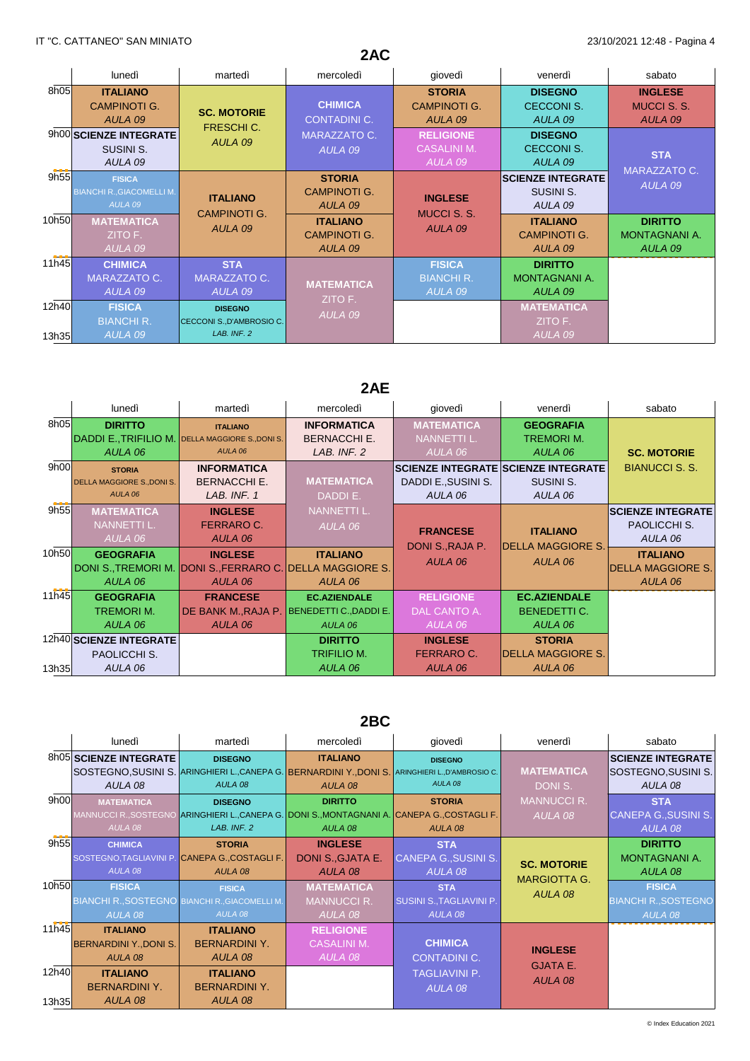|                | 2AC                                                          |                                                            |                                                   |                                                   |                                                   |                                                 |  |
|----------------|--------------------------------------------------------------|------------------------------------------------------------|---------------------------------------------------|---------------------------------------------------|---------------------------------------------------|-------------------------------------------------|--|
|                | lunedì                                                       | martedì                                                    | mercoledì                                         | giovedì                                           | venerdì                                           | sabato                                          |  |
| 8h05           | <b>ITALIANO</b><br>CAMPINOTI G.<br>AULA 09                   | <b>SC. MOTORIE</b><br>FRESCHI C.                           | <b>CHIMICA</b><br><b>CONTADINI C.</b>             | <b>STORIA</b><br><b>CAMPINOTI G.</b><br>AULA 09   | <b>DISEGNO</b><br><b>CECCONI S.</b><br>AULA 09    | <b>INGLESE</b><br><b>MUCCI S. S.</b><br>AULA 09 |  |
|                | 9h00 SCIENZE INTEGRATE<br>SUSINI S.<br>AULA 09               | AULA 09                                                    | MARAZZATO C.<br>AULA 09                           | <b>RELIGIONE</b><br><b>CASALINI M.</b><br>AULA 09 | <b>DISEGNO</b><br><b>CECCONI S.</b><br>AULA 09    | <b>STA</b><br>MARAZZATO C.                      |  |
| 9h55           | <b>FISICA</b><br><b>BIANCHI R., GIACOMELLI M.</b><br>AULA 09 | <b>ITALIANO</b><br><b>CAMPINOTI G.</b>                     | <b>STORIA</b><br><b>CAMPINOTI G.</b><br>AULA 09   | <b>INGLESE</b><br><b>MUCCI S. S.</b>              | <b>SCIENZE INTEGRATE</b><br>SUSINI S.<br>AULA 09  | AULA 09                                         |  |
| 10h50          | <b>MATEMATICA</b><br>ZITO F.<br>AULA 09                      | AULA 09                                                    | <b>ITALIANO</b><br><b>CAMPINOTI G.</b><br>AULA 09 | AULA 09                                           | <b>ITALIANO</b><br><b>CAMPINOTI G.</b><br>AULA 09 | <b>DIRITTO</b><br>MONTAGNANI A.<br>AULA 09      |  |
| 11h45          | <b>CHIMICA</b><br><b>MARAZZATO C.</b><br>AULA 09             | <b>STA</b><br>MARAZZATO C.<br>AULA 09                      | <b>MATEMATICA</b><br>ZITO F.                      | <b>FISICA</b><br><b>BIANCHI R.</b><br>AULA 09     | <b>DIRITTO</b><br><b>MONTAGNANI A.</b><br>AULA 09 |                                                 |  |
| 12h40<br>13h35 | <b>FISICA</b><br><b>BIANCHI R.</b><br>AULA <sub>09</sub>     | <b>DISEGNO</b><br>CECCONI S., D'AMBROSIO C.<br>LAB. INF. 2 | AULA 09                                           |                                                   | <b>MATEMATICA</b><br>ZITO F.<br>AULA 09           |                                                 |  |

# **2AE**

| lunedì             | martedì                                                                                                         | mercoledì              | giovedì                                                                                                                            | venerdì                                                              | sabato                                                                                               |
|--------------------|-----------------------------------------------------------------------------------------------------------------|------------------------|------------------------------------------------------------------------------------------------------------------------------------|----------------------------------------------------------------------|------------------------------------------------------------------------------------------------------|
| <b>DIRITTO</b>     | <b>ITALIANO</b>                                                                                                 | <b>INFORMATICA</b>     | <b>MATEMATICA</b>                                                                                                                  | <b>GEOGRAFIA</b>                                                     |                                                                                                      |
|                    |                                                                                                                 |                        |                                                                                                                                    | <b>TREMORIM.</b>                                                     |                                                                                                      |
| AULA 06            | AULA 06                                                                                                         | LAB. INF. 2            | AULA 06                                                                                                                            | AULA 06                                                              | <b>SC. MOTORIE</b>                                                                                   |
| <b>STORIA</b>      | <b>INFORMATICA</b>                                                                                              |                        |                                                                                                                                    |                                                                      | <b>BIANUCCI S. S.</b>                                                                                |
|                    | <b>BERNACCHI E.</b>                                                                                             | <b>MATEMATICA</b>      | DADDI E., SUSINI S.                                                                                                                | SUSINI S.                                                            |                                                                                                      |
| AULA 06            | LAB. INF. 1                                                                                                     | DADDIE.                | AULA 06                                                                                                                            | AULA 06                                                              |                                                                                                      |
| <b>MATEMATICA</b>  | <b>INGLESE</b>                                                                                                  | <b>NANNETTI L.</b>     |                                                                                                                                    |                                                                      | <b>SCIENZE INTEGRATE</b>                                                                             |
| <b>NANNETTI L.</b> | <b>FERRARO C.</b>                                                                                               | AULA 06                |                                                                                                                                    |                                                                      | <b>PAOLICCHI S.</b>                                                                                  |
| AULA 06            | AULA 06                                                                                                         |                        |                                                                                                                                    |                                                                      | AULA 06                                                                                              |
| <b>GEOGRAFIA</b>   | <b>INGLESE</b>                                                                                                  | <b>ITALIANO</b>        |                                                                                                                                    |                                                                      | <b>ITALIANO</b>                                                                                      |
|                    |                                                                                                                 |                        |                                                                                                                                    |                                                                      | <b>DELLA MAGGIORE S.</b>                                                                             |
| AULA 06            | AULA 06                                                                                                         | AULA 06                |                                                                                                                                    |                                                                      | AULA 06                                                                                              |
| <b>GEOGRAFIA</b>   | <b>FRANCESE</b>                                                                                                 | <b>EC.AZIENDALE</b>    | <b>RELIGIONE</b>                                                                                                                   | <b>EC.AZIENDALE</b>                                                  |                                                                                                      |
| TREMORI M.         | DE BANK M., RAJA P.                                                                                             | BENEDETTI C., DADDI E. | DAL CANTO A.                                                                                                                       | <b>BENEDETTI C.</b>                                                  |                                                                                                      |
| AULA 06            | AULA 06                                                                                                         | AULA 06                | AULA 06                                                                                                                            | AULA 06                                                              |                                                                                                      |
|                    |                                                                                                                 | <b>DIRITTO</b>         | <b>INGLESE</b>                                                                                                                     | <b>STORIA</b>                                                        |                                                                                                      |
| PAOLICCHI S.       |                                                                                                                 | <b>TRIFILIO M.</b>     | <b>FERRARO C.</b>                                                                                                                  | <b>DELLA MAGGIORE S.</b>                                             |                                                                                                      |
| AULA 06            |                                                                                                                 | AULA 06                | AULA 06                                                                                                                            | AULA 06                                                              |                                                                                                      |
|                    | 8h05<br>9h00<br><b>DELLA MAGGIORE S., DONI S.</b><br>9h55<br>10h50<br>11h45<br>12h40 SCIENZE INTEGRATE<br>13h35 |                        | DADDI E., TRIFILIO M. DELLA MAGGIORE S., DONI S.<br><b>BERNACCHI E.</b><br>DONI S. TREMORI M. DONI S. FERRARO C. DELLA MAGGIORE S. | <b>NANNETTI L.</b><br><b>FRANCESE</b><br>DONI S., RAJA P.<br>AULA 06 | <b>SCIENZE INTEGRATE SCIENZE INTEGRATE</b><br><b>ITALIANO</b><br><b>DELLA MAGGIORE S.</b><br>AULA 06 |

# **2BC**

| lunedì               | martedì                                                                                                     | mercoledì                                      | giovedì                                        | venerdì            | sabato                                                                                                                                                                                                                                                                                                       |
|----------------------|-------------------------------------------------------------------------------------------------------------|------------------------------------------------|------------------------------------------------|--------------------|--------------------------------------------------------------------------------------------------------------------------------------------------------------------------------------------------------------------------------------------------------------------------------------------------------------|
|                      | <b>DISEGNO</b>                                                                                              | <b>ITALIANO</b>                                | <b>DISEGNO</b>                                 |                    | <b>SCIENZE INTEGRATE</b>                                                                                                                                                                                                                                                                                     |
|                      |                                                                                                             |                                                |                                                | <b>MATEMATICA</b>  | SOSTEGNO, SUSINI S.                                                                                                                                                                                                                                                                                          |
| AULA 08              | AULA 08                                                                                                     | AULA 08                                        | AULA 08                                        | DONI S.            | AULA 08                                                                                                                                                                                                                                                                                                      |
| <b>MATEMATICA</b>    | <b>DISEGNO</b>                                                                                              | <b>DIRITTO</b>                                 | <b>STORIA</b>                                  | <b>MANNUCCI R.</b> | <b>STA</b>                                                                                                                                                                                                                                                                                                   |
|                      |                                                                                                             |                                                |                                                | AULA 08            | <b>CANEPA G., SUSINI S.</b>                                                                                                                                                                                                                                                                                  |
| AULA 08              | LAB. INF. 2                                                                                                 | AULA 08                                        | AULA 08                                        |                    | AULA 08                                                                                                                                                                                                                                                                                                      |
| <b>CHIMICA</b>       | <b>STORIA</b>                                                                                               | <b>INGLESE</b>                                 | <b>STA</b>                                     |                    | <b>DIRITTO</b>                                                                                                                                                                                                                                                                                               |
|                      |                                                                                                             | DONI S., GJATA E.                              |                                                |                    | <b>MONTAGNANI A.</b>                                                                                                                                                                                                                                                                                         |
| AULA 08              | AULA 08                                                                                                     | AULA 08                                        | AULA 08                                        |                    | AULA 08                                                                                                                                                                                                                                                                                                      |
| <b>FISICA</b>        | <b>FISICA</b>                                                                                               | <b>MATEMATICA</b>                              | <b>STA</b>                                     |                    | <b>FISICA</b>                                                                                                                                                                                                                                                                                                |
|                      |                                                                                                             | <b>MANNUCCI R.</b>                             | <b>SUSINI S., TAGLIAVINI P.</b>                |                    | <b>BIANCHI R., SOSTEGNO</b>                                                                                                                                                                                                                                                                                  |
| AULA 08              | AULA 08                                                                                                     | AULA 08                                        | AULA 08                                        |                    | AULA 08                                                                                                                                                                                                                                                                                                      |
| <b>ITALIANO</b>      | <b>ITALIANO</b>                                                                                             | <b>RELIGIONE</b>                               |                                                |                    |                                                                                                                                                                                                                                                                                                              |
|                      | <b>BERNARDINI Y.</b>                                                                                        | <b>CASALINI M.</b>                             | <b>CHIMICA</b>                                 |                    |                                                                                                                                                                                                                                                                                                              |
| AULA 08              | AULA 08                                                                                                     | AULA 08                                        | <b>CONTADINI C.</b>                            | <b>GJATA E.</b>    |                                                                                                                                                                                                                                                                                                              |
| <b>ITALIANO</b>      | <b>ITALIANO</b>                                                                                             |                                                | <b>TAGLIAVINI P.</b>                           |                    |                                                                                                                                                                                                                                                                                                              |
| <b>BERNARDINI Y.</b> | <b>BERNARDINI Y.</b>                                                                                        |                                                | AULA 08                                        |                    |                                                                                                                                                                                                                                                                                                              |
| AULA 08              | AULA 08                                                                                                     |                                                |                                                |                    |                                                                                                                                                                                                                                                                                                              |
|                      | 8h05 SCIENZE INTEGRATE<br>9h00<br>9h55<br>10h50<br>11h45<br><b>BERNARDINI Y., DONI S.</b><br>12h40<br>13h35 | SOSTEGNO, TAGLIAVINI P. CANEPA G., COSTAGLI F. | BIANCHI R., SOSTEGNO BIANCHI R., GIACOMELLI M. |                    | SOSTEGNO,SUSINI S. ARINGHIERI L.,CANEPA G. BERNARDINI Y.,DONI S. ARINGHIERI L.,D'AMBROSIO C.<br>MANNUCCI R.,SOSTEGNO ARINGHIERI L.,CANEPA G. DONI S.,MONTAGNANI A. CANEPA G.,COSTAGLI F.<br><b>CANEPA G., SUSINI S.</b><br><b>SC. MOTORIE</b><br><b>MARGIOTTA G.</b><br>AULA 08<br><b>INGLESE</b><br>AULA 08 |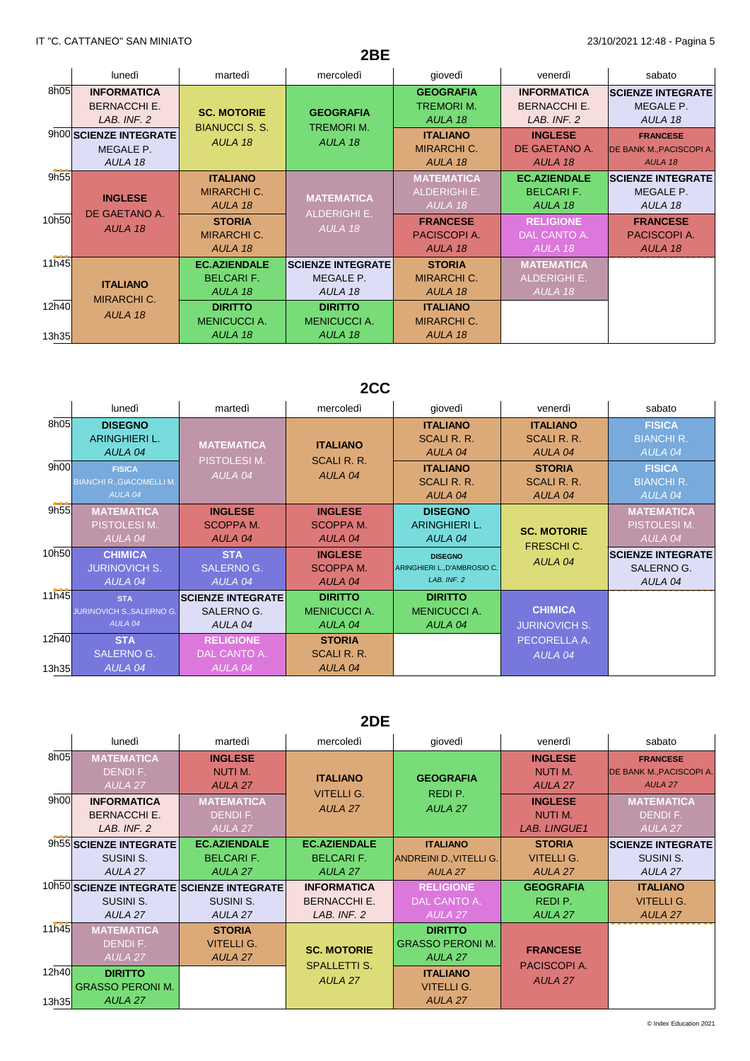|       |                                                          |                                                  | 2BE                                   |                                                     |                                                          |                                                               |
|-------|----------------------------------------------------------|--------------------------------------------------|---------------------------------------|-----------------------------------------------------|----------------------------------------------------------|---------------------------------------------------------------|
|       | lunedì                                                   | martedì                                          | mercoledì                             | giovedì                                             | venerdì                                                  | sabato                                                        |
| 8h05  | <b>INFORMATICA</b><br><b>BERNACCHI E.</b><br>LAB. INF. 2 | <b>SC. MOTORIE</b>                               | <b>GEOGRAFIA</b><br><b>TREMORIM.</b>  | <b>GEOGRAFIA</b><br><b>TREMORIM.</b><br>AULA 18     | <b>INFORMATICA</b><br><b>BERNACCHI E.</b><br>LAB. INF. 2 | <b>SCIENZE INTEGRATE</b><br>MEGALE P.<br>AULA 18              |
|       | 9h00 SCIENZE INTEGRATE<br>MEGALE P.<br>AULA 18           | <b>BIANUCCI S. S.</b><br>AULA 18                 | AULA 18                               | <b>ITALIANO</b><br><b>MIRARCHI C.</b><br>AULA 18    | <b>INGLESE</b><br>DE GAETANO A.<br>AULA 18               | <b>FRANCESE</b><br><b>DE BANK M., PACISCOPI A.</b><br>AULA 18 |
| 9h55  | <b>INGLESE</b>                                           | <b>ITALIANO</b><br><b>MIRARCHI C.</b><br>AULA 18 | <b>MATEMATICA</b>                     | <b>MATEMATICA</b><br><b>ALDERIGHI E.</b><br>AULA 18 | <b>EC.AZIENDALE</b><br><b>BELCARIF.</b><br>AULA 18       | <b>SCIENZE INTEGRATE</b><br>MEGALE P.<br>AULA 18              |
| 10h50 | DE GAETANO A.<br>AULA 18                                 | <b>STORIA</b><br><b>MIRARCHI C.</b><br>AULA 18   | <b>ALDERIGHI E.</b><br>AULA 18        | <b>FRANCESE</b><br>PACISCOPI A.<br>AULA 18          | <b>RELIGIONE</b><br>DAL CANTO A.<br>AULA 18              | <b>FRANCESE</b><br>PACISCOPI A.<br>AULA 18                    |
| 11h45 |                                                          | <b>EC.AZIENDALE</b>                              | <b>SCIENZE INTEGRATE</b>              | <b>STORIA</b>                                       | <b>MATEMATICA</b>                                        |                                                               |
|       | <b>ITALIANO</b>                                          | <b>BELCARIF.</b><br>AULA 18                      | MEGALE P.<br>AULA 18                  | <b>MIRARCHI C.</b><br>AULA 18                       | <b>ALDERIGHI E.</b><br>AULA 18                           |                                                               |
| 12h40 | <b>MIRARCHI C.</b><br>AULA 18                            | <b>DIRITTO</b><br><b>MENICUCCI A.</b>            | <b>DIRITTO</b><br><b>MENICUCCI A.</b> | <b>ITALIANO</b><br><b>MIRARCHI C.</b>               |                                                          |                                                               |
| 13h35 |                                                          | AULA 18                                          | AULA 18                               | AULA 18                                             |                                                          |                                                               |

# **2CC**

|                | lunedì                                                       | martedì                                           | mercoledì                                        | giovedì                                                       | venerdì                                   | sabato                                            |
|----------------|--------------------------------------------------------------|---------------------------------------------------|--------------------------------------------------|---------------------------------------------------------------|-------------------------------------------|---------------------------------------------------|
| 8h05           | <b>DISEGNO</b><br>ARINGHIERI L.<br>AULA 04                   | <b>MATEMATICA</b><br><b>PISTOLESIM.</b>           | <b>ITALIANO</b><br><b>SCALI R. R.</b>            | <b>ITALIANO</b><br>SCALI R. R.<br>AULA 04                     | <b>ITALIANO</b><br>SCALI R. R.<br>AULA 04 | <b>FISICA</b><br><b>BIANCHI R.</b><br>AULA 04     |
| 9h00           | <b>FISICA</b><br><b>BIANCHI R., GIACOMELLI M.</b><br>AULA 04 | AULA 04                                           | AULA 04                                          | <b>ITALIANO</b><br>SCALI R. R.<br>AULA 04                     | <b>STORIA</b><br>SCALI R. R.<br>AULA 04   | <b>FISICA</b><br><b>BIANCHI R.</b><br>AULA 04     |
| 9h55           | <b>MATEMATICA</b><br>PISTOLESI M.<br>AULA 04                 | <b>INGLESE</b><br>SCOPPA M.<br>AULA 04            | <b>INGLESE</b><br>SCOPPA M.<br>AULA 04           | <b>DISEGNO</b><br>ARINGHIERI L.<br>AULA 04                    | <b>SC. MOTORIE</b>                        | <b>MATEMATICA</b><br>PISTOLESI M.<br>AULA 04      |
| 10h50          | <b>CHIMICA</b><br><b>JURINOVICH S.</b><br>AULA 04            | <b>STA</b><br><b>SALERNO G.</b><br>AULA 04        | <b>INGLESE</b><br><b>SCOPPAM.</b><br>AULA 04     | <b>DISEGNO</b><br>ARINGHIERI L., D'AMBROSIO C.<br>LAB. INF. 2 | <b>FRESCHIC.</b><br>AULA 04               | <b>SCIENZE INTEGRATE</b><br>SALERNO G.<br>AULA 04 |
| 11h45          | <b>STA</b><br>JURINOVICH S., SALERNO G.<br>AULA 04           | <b>SCIENZE INTEGRATE</b><br>SALERNO G.<br>AULA 04 | <b>DIRITTO</b><br><b>MENICUCCI A.</b><br>AULA 04 | <b>DIRITTO</b><br><b>MENICUCCIA.</b><br>AULA 04               | <b>CHIMICA</b><br><b>JURINOVICH S.</b>    |                                                   |
| 12h40<br>13h35 | <b>STA</b><br><b>SALERNO G.</b><br>AULA 04                   | <b>RELIGIONE</b><br>DAL CANTO A.<br>AULA 04       | <b>STORIA</b><br>SCALI R. R.<br>AULA 04          |                                                               | PECORELLA A.<br>AULA 04                   |                                                   |

### **2DE**

|                | lunedì                                                            | martedì                                            | mercoledì                                                | giovedì                                               | venerdì                                                | sabato                                                        |
|----------------|-------------------------------------------------------------------|----------------------------------------------------|----------------------------------------------------------|-------------------------------------------------------|--------------------------------------------------------|---------------------------------------------------------------|
| 8h05           | <b>MATEMATICA</b><br>DENDI F.<br>AULA 27                          | <b>INGLESE</b><br>NUTI M.<br>AULA 27               | <b>ITALIANO</b><br><b>VITELLI G.</b>                     | <b>GEOGRAFIA</b><br>REDI P.                           | <b>INGLESE</b><br>NUTI M.<br>AULA 27                   | <b>FRANCESE</b><br><b>DE BANK M., PACISCOPI A.</b><br>AULA 27 |
| 9h00           | <b>INFORMATICA</b><br><b>BERNACCHI E.</b><br>LAB. INF. 2          | <b>MATEMATICA</b><br>DENDI F.<br><b>AULA 27</b>    | AULA 27                                                  | AULA 27                                               | <b>INGLESE</b><br><b>NUTIM.</b><br><b>LAB. LINGUE1</b> | <b>MATEMATICA</b><br>DENDI F.<br>AULA <sub>27</sub>           |
|                | 9h55 SCIENZE INTEGRATE<br><b>SUSINI S.</b><br>AULA 27             | <b>EC.AZIENDALE</b><br><b>BELCARIF.</b><br>AULA 27 | <b>EC.AZIENDALE</b><br><b>BELCARIF.</b><br>AULA 27       | <b>ITALIANO</b><br>ANDREINI D., VITELLI G.<br>AULA 27 | <b>STORIA</b><br><b>VITELLI G.</b><br>AULA 27          | <b>SCIENZE INTEGRATE</b><br>SUSINI S.<br>AULA 27              |
|                | 10h50 SCIENZE INTEGRATE SCIENZE INTEGRATE<br>SUSINI S.<br>AULA 27 | SUSINI S.<br>AULA 27                               | <b>INFORMATICA</b><br><b>BERNACCHI E.</b><br>LAB. INF. 2 | <b>RELIGIONE</b><br>DAL CANTO A.<br>AULA 27           | <b>GEOGRAFIA</b><br>REDI P.<br>AULA 27                 | <b>ITALIANO</b><br><b>VITELLI G.</b><br>AULA 27               |
| 11h45          | <b>MATEMATICA</b><br>DENDI F.<br>AULA 27                          | <b>STORIA</b><br><b>VITELLI G.</b><br>AULA 27      | <b>SC. MOTORIE</b>                                       | <b>DIRITTO</b><br><b>GRASSO PERONI M.</b><br>AULA 27  | <b>FRANCESE</b>                                        |                                                               |
| 12h40<br>13h35 | <b>DIRITTO</b><br><b>GRASSO PERONI M.</b><br>AULA 27              |                                                    | <b>SPALLETTI S.</b><br>AULA 27                           | <b>ITALIANO</b><br>VITELLI G.<br>AULA 27              | PACISCOPI A.<br>AULA 27                                |                                                               |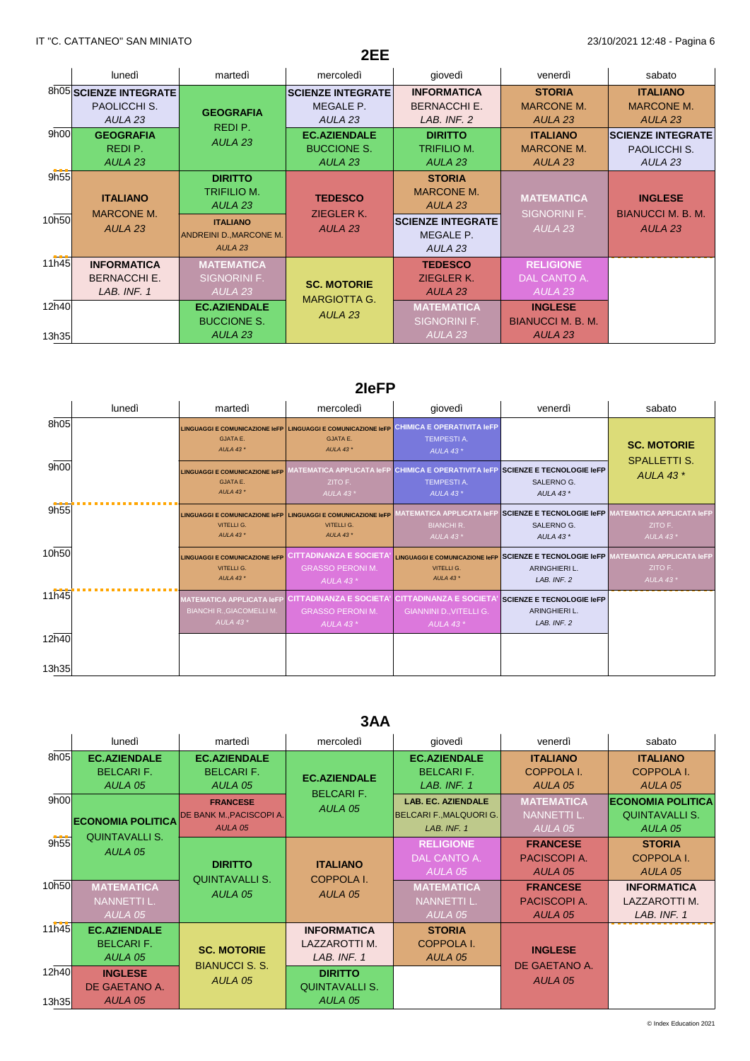|                |                                                                         |                                                                         | 2EE                                                                                   |                                                                           |                                                                                  |                                                                                      |
|----------------|-------------------------------------------------------------------------|-------------------------------------------------------------------------|---------------------------------------------------------------------------------------|---------------------------------------------------------------------------|----------------------------------------------------------------------------------|--------------------------------------------------------------------------------------|
|                | lunedì                                                                  | martedì                                                                 | mercoledì                                                                             | giovedì                                                                   | venerdì                                                                          | sabato                                                                               |
|                | 8h05 SCIENZE INTEGRATE<br>PAOLICCHI S.                                  | <b>GEOGRAFIA</b>                                                        | <b>SCIENZE INTEGRATE</b><br>MEGALE P.                                                 | <b>INFORMATICA</b><br><b>BERNACCHI E.</b>                                 | <b>STORIA</b><br><b>MARCONE M.</b>                                               | <b>ITALIANO</b><br><b>MARCONE M.</b>                                                 |
| 9h00           | AULA <sub>23</sub><br><b>GEOGRAFIA</b><br>REDI P.<br>AULA <sub>23</sub> | REDI P.<br>AULA <sub>23</sub>                                           | AULA <sub>23</sub><br><b>EC.AZIENDALE</b><br><b>BUCCIONE S.</b><br>AULA <sub>23</sub> | LAB. INF. 2<br><b>DIRITTO</b><br><b>TRIFILIO M.</b><br>AULA <sub>23</sub> | AULA <sub>23</sub><br><b>ITALIANO</b><br><b>MARCONE M.</b><br>AULA <sub>23</sub> | AULA <sub>23</sub><br><b>SCIENZE INTEGRATE</b><br>PAOLICCHI S.<br>AULA <sub>23</sub> |
| 9h55           | <b>ITALIANO</b>                                                         | <b>DIRITTO</b><br><b>TRIFILIO M.</b><br>AULA <sub>23</sub>              | <b>TEDESCO</b><br>ZIEGLER K.                                                          | <b>STORIA</b><br><b>MARCONE M.</b><br>AULA <sub>23</sub>                  | <b>MATEMATICA</b><br><b>SIGNORINI F.</b>                                         | <b>INGLESE</b><br><b>BIANUCCI M. B. M.</b>                                           |
| 10h50          | <b>MARCONE M.</b><br>AULA <sub>23</sub>                                 | <b>ITALIANO</b><br><b>ANDREINI D., MARCONE M.</b><br>AULA <sub>23</sub> | AULA <sub>23</sub>                                                                    | <b>SCIENZE INTEGRATE</b><br>MEGALE P.<br>AULA <sub>23</sub>               | AULA <sub>23</sub>                                                               | AULA <sub>23</sub>                                                                   |
| 11h45          | <b>INFORMATICA</b><br><b>BERNACCHI E.</b><br>LAB. INF. 1                | <b>MATEMATICA</b><br><b>SIGNORINI F.</b><br>AULA <sub>23</sub>          | <b>SC. MOTORIE</b>                                                                    | <b>TEDESCO</b><br>ZIEGLER K.<br>AULA <sub>23</sub>                        | <b>RELIGIONE</b><br>DAL CANTO A.<br>AULA 23                                      |                                                                                      |
| 12h40<br>13h35 |                                                                         | <b>EC.AZIENDALE</b><br><b>BUCCIONE S.</b><br>AULA <sub>23</sub>         | <b>MARGIOTTA G.</b><br>AULA <sub>23</sub>                                             | <b>MATEMATICA</b><br>SIGNORINI F.<br>AULA <sub>23</sub>                   | <b>INGLESE</b><br><b>BIANUCCI M. B. M.</b><br>AULA <sub>23</sub>                 |                                                                                      |

### **2IeFP**

|                | lunedì | martedì                                                                                    | mercoledì                                                                                              | giovedì                                                                                         | venerdì                                                                 | sabato                                                      |
|----------------|--------|--------------------------------------------------------------------------------------------|--------------------------------------------------------------------------------------------------------|-------------------------------------------------------------------------------------------------|-------------------------------------------------------------------------|-------------------------------------------------------------|
| 8h05           |        | <b>GJATA E.</b><br>AULA 43 $*$                                                             | <b>LINGUAGGI E COMUNICAZIONE IeFP LINGUAGGI E COMUNICAZIONE IeFP</b><br><b>GJATA E.</b><br>AULA 43 $*$ | <b>CHIMICA E OPERATIVITA IeFP</b><br><b>TEMPESTIA.</b><br>AULA 43 $*$                           |                                                                         | <b>SC. MOTORIE</b>                                          |
| 9h00           |        | <b>LINGUAGGI E COMUNICAZIONE IeFP</b><br><b>GJATA E.</b><br>AULA 43 $*$                    | <b>MATEMATICA APPLICATA IeFP</b><br>ZITO F.<br>AULA 43 $*$                                             | <b>CHIMICA E OPERATIVITA IGFP SCIENZE E TECNOLOGIE IGFP</b><br><b>TEMPESTIA.</b><br>AULA 43 $*$ | SALERNO G.<br>AULA 43 $*$                                               | <b>SPALLETTI S.</b><br>AULA 43 $*$                          |
| 9h55           |        | LINGUAGGI E COMUNICAZIONE IeFP LINGUAGGI E COMUNICAZIONE IeFP<br>VITELLI G.<br>AULA 43 $*$ | VITELLI G.<br>AULA 43 $*$                                                                              | <b>MATEMATICA APPLICATA IeFP</b><br><b>BIANCHI R.</b><br>AULA 43 $*$                            | SCIENZE E TECNOLOGIE IeFP<br>SALERNO G.<br>AULA 43 $*$                  | <b>MATEMATICA APPLICATA IeFP</b><br>ZITO F.<br>AULA 43 $*$  |
| 10h50          |        | <b>LINGUAGGI E COMUNICAZIONE IeFP</b><br>VITELLI G.<br>AULA 43 $*$                         | CITTADINANZA E SOCIETA<br><b>GRASSO PERONIM.</b><br>AULA 43 $*$                                        | <b>LINGUAGGI E COMUNICAZIONE IeFP</b><br>VITELLI G.<br>AULA 43 *                                | SCIENZE E TECNOLOGIE IeFP<br><b>ARINGHIERI L.</b><br>LAB. INF. 2        | <b>MATEMATICA APPLICATA IeFP</b><br>ZITO F.<br>AULA 43 $^*$ |
| 11h45          |        | <b>MATEMATICA APPLICATA IeFP</b><br><b>BIANCHI R., GIACOMELLI M.</b><br>AULA 43 $*$        | <b>CITTADINANZA E SOCIETA'</b><br><b>GRASSO PERONIM.</b><br><b>AULA 43*</b>                            | <b>CITTADINANZA E SOCIETA</b><br><b>GIANNINI D., VITELLI G.</b><br>AULA 43 $*$                  | <b>SCIENZE E TECNOLOGIE IeFP</b><br><b>ARINGHIERI L.</b><br>LAB. INF. 2 |                                                             |
| 12h40<br>13h35 |        |                                                                                            |                                                                                                        |                                                                                                 |                                                                         |                                                             |

## **3AA**

|       | lunedì                   | martedì                          | mercoledì             | giovedì                        | venerdì           | sabato                   |
|-------|--------------------------|----------------------------------|-----------------------|--------------------------------|-------------------|--------------------------|
| 8h05  | <b>EC.AZIENDALE</b>      | <b>EC.AZIENDALE</b>              |                       | <b>EC.AZIENDALE</b>            | <b>ITALIANO</b>   | <b>ITALIANO</b>          |
|       | <b>BELCARIF.</b>         | <b>BELCARIF.</b>                 | <b>EC.AZIENDALE</b>   | <b>BELCARIF.</b>               | <b>COPPOLA I.</b> | <b>COPPOLA I.</b>        |
|       | AULA 05                  | AULA 05                          | <b>BELCARIF.</b>      | LAB. INF. 1                    | AULA 05           | AULA 05                  |
| 9h00  |                          | <b>FRANCESE</b>                  | AULA 05               | <b>LAB. EC. AZIENDALE</b>      | <b>MATEMATICA</b> | <b>ECONOMIA POLITICA</b> |
|       | <b>ECONOMIA POLITICA</b> | <b>DE BANK M., PACISCOPI A.</b>  |                       | <b>BELCARI F., MALQUORI G.</b> | NANNETTI L.       | <b>QUINTAVALLI S.</b>    |
|       |                          | AULA 05                          |                       | LAB. INF. 1                    | AULA 05           | AULA 05                  |
| 9h55  | <b>QUINTAVALLI S.</b>    |                                  |                       | <b>RELIGIONE</b>               | <b>FRANCESE</b>   | <b>STORIA</b>            |
|       | AULA 05                  | <b>DIRITTO</b>                   | <b>ITALIANO</b>       | DAL CANTO A.                   | PACISCOPI A.      | <b>COPPOLA I.</b>        |
|       |                          | <b>QUINTAVALLI S.</b>            | <b>COPPOLA I.</b>     | AULA 05                        | AULA 05           | AULA 05                  |
| 10h50 | <b>MATEMATICA</b>        |                                  |                       | <b>MATEMATICA</b>              | <b>FRANCESE</b>   | <b>INFORMATICA</b>       |
|       | <b>NANNETTI L.</b>       | AULA 05                          | AULA 05               | <b>NANNETTI L.</b>             | PACISCOPI A.      | LAZZAROTTI M.            |
|       | AULA 05                  |                                  |                       | AULA 05                        | AULA 05           | LAB. INF. 1              |
| 11h45 | <b>EC.AZIENDALE</b>      |                                  | <b>INFORMATICA</b>    | <b>STORIA</b>                  |                   |                          |
|       | <b>BELCARIF.</b>         | <b>SC. MOTORIE</b>               | LAZZAROTTI M.         | <b>COPPOLA I.</b>              | <b>INGLESE</b>    |                          |
|       | AULA 05                  |                                  | LAB. INF. 1           | AULA 05                        |                   |                          |
| 12h40 | <b>INGLESE</b>           | <b>BIANUCCI S. S.</b><br>AULA 05 | <b>DIRITTO</b>        |                                | DE GAETANO A.     |                          |
|       | DE GAETANO A.            |                                  | <b>QUINTAVALLI S.</b> |                                | AULA 05           |                          |
| 13h35 | AULA 05                  |                                  | AULA 05               |                                |                   |                          |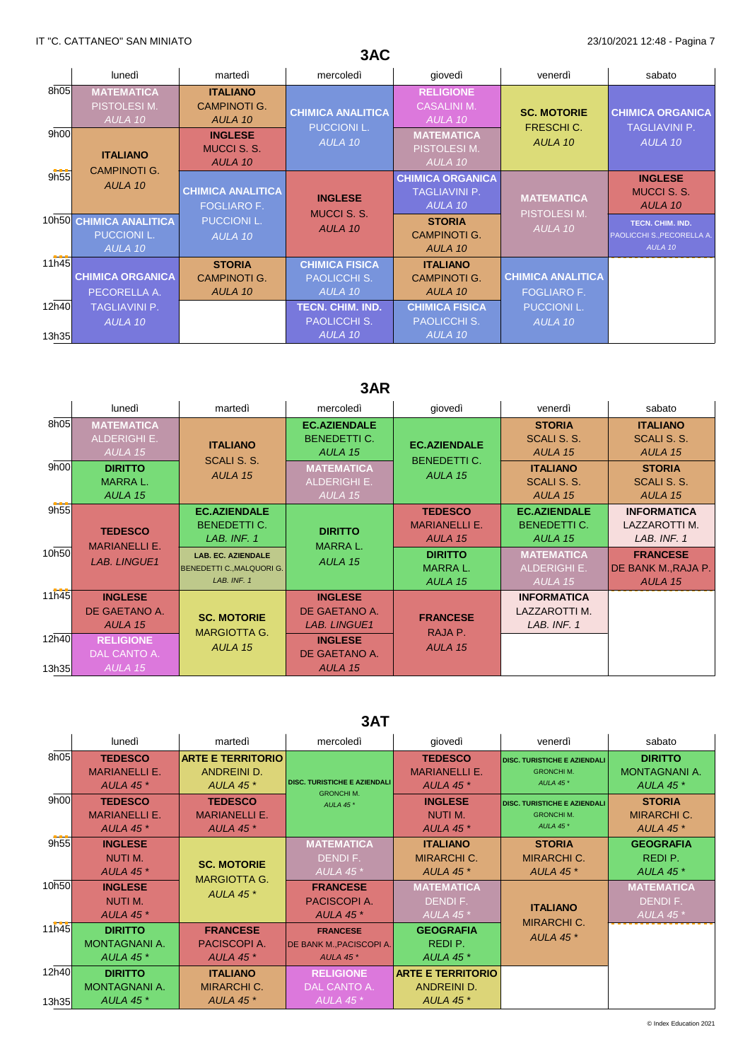# **3AC**

|       | lunedì                                                   | martedì                                           | mercoledì                                               | giovedì                                                    | venerdì                                        | sabato                                                           |
|-------|----------------------------------------------------------|---------------------------------------------------|---------------------------------------------------------|------------------------------------------------------------|------------------------------------------------|------------------------------------------------------------------|
| 8h05  | <b>MATEMATICA</b><br>PISTOLESI M.<br>AULA 10             | <b>ITALIANO</b><br><b>CAMPINOTI G.</b><br>AULA 10 | <b>CHIMICA ANALITICA</b><br><b>PUCCIONI L.</b>          | <b>RELIGIONE</b><br><b>CASALINI M.</b><br>AULA 10          | <b>SC. MOTORIE</b><br><b>FRESCHIC.</b>         | <b>CHIMICA ORGANICA</b><br><b>TAGLIAVINI P.</b>                  |
| 9h00  | <b>ITALIANO</b><br><b>CAMPINOTI G.</b>                   | <b>INGLESE</b><br><b>MUCCI S. S.</b><br>AULA 10   | AULA 10                                                 | <b>MATEMATICA</b><br>PISTOLESI M.<br>AULA 10               | AULA 10                                        | AULA 10                                                          |
| 9h55  | AULA 10                                                  | <b>CHIMICA ANALITICA</b><br><b>FOGLIARO F.</b>    | <b>INGLESE</b><br><b>MUCCI S. S.</b>                    | <b>CHIMICA ORGANICA</b><br><b>TAGLIAVINI P.</b><br>AULA 10 | <b>MATEMATICA</b><br><b>PISTOLESIM.</b>        | <b>INGLESE</b><br><b>MUCCI S.S.</b><br>AULA 10                   |
|       | 10h50 CHIMICA ANALITICA<br><b>PUCCIONI L.</b><br>AULA 10 | <b>PUCCIONI L.</b><br>AULA 10                     | AULA 10                                                 | <b>STORIA</b><br><b>CAMPINOTI G.</b><br>AULA 10            | AULA 10                                        | TECN. CHIM. IND.<br><b>PAOLICCHI S., PECORELLA A.</b><br>AULA 10 |
| 11h45 | <b>CHIMICA ORGANICA</b><br>PECORELLA A.                  | <b>STORIA</b><br><b>CAMPINOTI G.</b><br>AULA 10   | <b>CHIMICA FISICA</b><br><b>PAOLICCHI S.</b><br>AULA 10 | <b>ITALIANO</b><br><b>CAMPINOTI G.</b><br>AULA 10          | <b>CHIMICA ANALITICA</b><br><b>FOGLIARO F.</b> |                                                                  |
| 12h40 | <b>TAGLIAVINI P.</b><br>AULA 10                          |                                                   | <b>TECN. CHIM. IND.</b><br><b>PAOLICCHI S.</b>          | <b>CHIMICA FISICA</b><br><b>PAOLICCHI S.</b>               | <b>PUCCIONI L.</b><br>AULA 10                  |                                                                  |
| 13h35 |                                                          |                                                   | AULA 10                                                 | AULA 10                                                    |                                                |                                                                  |

# **3AR**

|                | lunedì                                              | martedì                                                               | mercoledì                                              | giovedì                                           | venerdì                                               | sabato                                             |
|----------------|-----------------------------------------------------|-----------------------------------------------------------------------|--------------------------------------------------------|---------------------------------------------------|-------------------------------------------------------|----------------------------------------------------|
| 8h05           | <b>MATEMATICA</b><br><b>ALDERIGHI E.</b><br>AULA 15 | <b>ITALIANO</b><br>SCALI S. S.<br>AULA 15                             | <b>EC.AZIENDALE</b><br><b>BENEDETTI C.</b><br>AULA 15  | <b>EC.AZIENDALE</b><br><b>BENEDETTI C.</b>        | <b>STORIA</b><br>SCALI S. S.<br>AULA 15               | <b>ITALIANO</b><br>SCALI S. S.<br>AULA 15          |
| 9h00           | <b>DIRITTO</b><br><b>MARRAL.</b><br>AULA 15         |                                                                       | <b>MATEMATICA</b><br><b>ALDERIGHI E.</b><br>AULA 15    | AULA 15                                           | <b>ITALIANO</b><br>SCALI S. S.<br>AULA 15             | <b>STORIA</b><br>SCALI S. S.<br>AULA 15            |
| 9h55           | <b>TEDESCO</b><br><b>MARIANELLI E.</b>              | <b>EC.AZIENDALE</b><br><b>BENEDETTI C.</b><br>LAB. INF. 1             | <b>DIRITTO</b><br><b>MARRAL.</b>                       | <b>TEDESCO</b><br><b>MARIANELLI E.</b><br>AULA 15 | <b>EC.AZIENDALE</b><br><b>BENEDETTI C.</b><br>AULA 15 | <b>INFORMATICA</b><br>LAZZAROTTI M.<br>LAB. INF. 1 |
| 10h50          | <b>LAB. LINGUE1</b>                                 | <b>LAB. EC. AZIENDALE</b><br>BENEDETTI C., MALQUORI G.<br>LAB. INF. 1 | AULA 15                                                | <b>DIRITTO</b><br><b>MARRAL.</b><br>AULA 15       | <b>MATEMATICA</b><br>ALDERIGHI E.<br>AULA 15          | <b>FRANCESE</b><br>DE BANK M., RAJA P.<br>AULA 15  |
| 11h45          | <b>INGLESE</b><br>DE GAETANO A.<br>AULA 15          | <b>SC. MOTORIE</b><br><b>MARGIOTTA G.</b><br>AULA 15                  | <b>INGLESE</b><br>DE GAETANO A.<br><b>LAB. LINGUE1</b> | <b>FRANCESE</b><br>RAJA P.                        | <b>INFORMATICA</b><br>LAZZAROTTI M.<br>LAB. INF. 1    |                                                    |
| 12h40<br>13h35 | <b>RELIGIONE</b><br>DAL CANTO A.<br>AULA 15         |                                                                       | <b>INGLESE</b><br>DE GAETANO A.<br>AULA 15             | AULA 15                                           |                                                       |                                                    |

### **3AT**

|                | lunedì                                                     | martedì                                                            | mercoledì                                                              | qiovedì                                                    | venerdì                                                             | sabato                                                    |
|----------------|------------------------------------------------------------|--------------------------------------------------------------------|------------------------------------------------------------------------|------------------------------------------------------------|---------------------------------------------------------------------|-----------------------------------------------------------|
| 8h05           | <b>TEDESCO</b><br><b>MARIANELLI E.</b><br><b>AULA 45 *</b> | <b>ARTE E TERRITORIO</b><br><b>ANDREINI D.</b><br><b>AULA 45 *</b> | <b>DISC. TURISTICHE E AZIENDALI</b>                                    | <b>TEDESCO</b><br><b>MARIANELLI E.</b><br><b>AULA 45 *</b> | <b>DISC. TURISTICHE E AZIENDALI</b><br><b>GRONCHIM.</b><br>AULA 45* | <b>DIRITTO</b><br><b>MONTAGNANI A.</b><br><b>AULA 45*</b> |
| 9h00           | <b>TEDESCO</b><br><b>MARIANELLI E.</b><br><b>AULA 45 *</b> | <b>TEDESCO</b><br><b>MARIANELLI E.</b><br><b>AULA 45 *</b>         | <b>GRONCHIM.</b><br>AULA 45*                                           | <b>INGLESE</b><br>NUTI M.<br><b>AULA 45 *</b>              | <b>DISC. TURISTICHE E AZIENDALI</b><br><b>GRONCHIM.</b><br>AULA 45* | <b>STORIA</b><br><b>MIRARCHI C.</b><br><b>AULA 45*</b>    |
| 9h55           | <b>INGLESE</b><br>NUTI M.<br>AULA 45 $*$                   | <b>SC. MOTORIE</b>                                                 | <b>MATEMATICA</b><br>DENDI F.<br>AULA 45 $*$                           | <b>ITALIANO</b><br><b>MIRARCHI C.</b><br>AULA 45 $*$       | <b>STORIA</b><br><b>MIRARCHI C.</b><br><b>AULA 45 *</b>             | <b>GEOGRAFIA</b><br>REDI P.<br>AULA 45 $*$                |
| 10h50          | <b>INGLESE</b><br>NUTI M.<br><b>AULA 45 *</b>              | <b>MARGIOTTA G.</b><br><b>AULA 45 *</b>                            | <b>FRANCESE</b><br>PACISCOPI A.<br><b>AULA 45 *</b>                    | <b>MATEMATICA</b><br>DENDI F.<br>AULA 45 $*$               | <b>ITALIANO</b>                                                     | <b>MATEMATICA</b><br>DENDI F.<br>AULA 45 $*$              |
| 11h45          | <b>DIRITTO</b><br><b>MONTAGNANI A.</b><br><b>AULA 45 *</b> | <b>FRANCESE</b><br>PACISCOPI A.<br><b>AULA 45 *</b>                | <b>FRANCESE</b><br><b>DE BANK M., PACISCOPI A.</b><br><b>AULA 45 *</b> | <b>GEOGRAFIA</b><br>REDI P.<br><b>AULA 45 *</b>            | <b>MIRARCHI C.</b><br>AULA 45 $*$                                   |                                                           |
| 12h40<br>13h35 | <b>DIRITTO</b><br><b>MONTAGNANI A.</b><br><b>AULA 45 *</b> | <b>ITALIANO</b><br><b>MIRARCHI C.</b><br><b>AULA 45 *</b>          | <b>RELIGIONE</b><br>DAL CANTO A.<br>AULA 45 $*$                        | <b>ARTE E TERRITORIO</b><br>ANDREINI D.<br>AULA 45 $*$     |                                                                     |                                                           |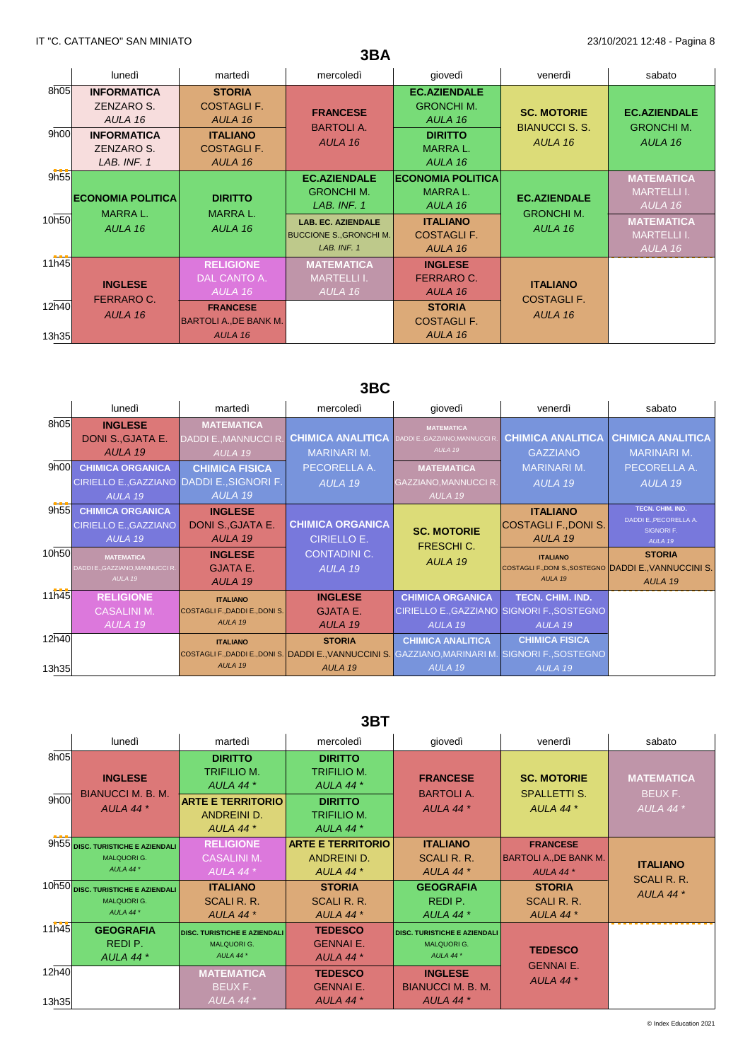|                |                                                 |                                                             | 3BA                                                                        |                                                       |                                             |                                                    |
|----------------|-------------------------------------------------|-------------------------------------------------------------|----------------------------------------------------------------------------|-------------------------------------------------------|---------------------------------------------|----------------------------------------------------|
|                | lunedì                                          | martedì                                                     | mercoledì                                                                  | giovedì                                               | venerdì                                     | sabato                                             |
| 8h05           | <b>INFORMATICA</b><br>ZENZARO S.<br>AULA 16     | <b>STORIA</b><br><b>COSTAGLI F.</b><br>AULA 16              | <b>FRANCESE</b><br><b>BARTOLIA.</b>                                        | <b>EC.AZIENDALE</b><br><b>GRONCHI M.</b><br>AULA 16   | <b>SC. MOTORIE</b><br><b>BIANUCCI S. S.</b> | <b>EC.AZIENDALE</b><br><b>GRONCHI M.</b>           |
| 9h00           | <b>INFORMATICA</b><br>ZENZARO S.<br>LAB. INF. 1 | <b>ITALIANO</b><br><b>COSTAGLI F.</b><br>AULA 16            | AULA 16                                                                    | <b>DIRITTO</b><br><b>MARRAL.</b><br>AULA 16           | AULA 16                                     | AULA 16                                            |
| 9h55           | <b>ECONOMIA POLITICA</b><br>MARRA L.            | <b>DIRITTO</b><br><b>MARRAL.</b>                            | <b>EC.AZIENDALE</b><br><b>GRONCHI M.</b><br>LAB. INF. 1                    | <b>ECONOMIA POLITICA</b><br><b>MARRAL.</b><br>AULA 16 | <b>EC.AZIENDALE</b>                         | <b>MATEMATICA</b><br><b>MARTELLI I.</b><br>AULA 16 |
| 10h50          | AULA 16                                         | AULA 16                                                     | <b>LAB. EC. AZIENDALE</b><br><b>BUCCIONE S., GRONCHI M.</b><br>LAB. INF. 1 | <b>ITALIANO</b><br><b>COSTAGLI F.</b><br>AULA 16      | <b>GRONCHI M.</b><br>AULA 16                | <b>MATEMATICA</b><br><b>MARTELLI I.</b><br>AULA 16 |
| 11h45          | <b>INGLESE</b>                                  | <b>RELIGIONE</b><br>DAL CANTO A.<br>AULA 16                 | <b>MATEMATICA</b><br><b>MARTELLI I.</b><br>AULA 16                         | <b>INGLESE</b><br>FERRARO C.<br>AULA 16               | <b>ITALIANO</b>                             |                                                    |
| 12h40<br>13h35 | FERRARO C.<br>AULA 16                           | <b>FRANCESE</b><br><b>BARTOLI A., DE BANK M.</b><br>AULA 16 |                                                                            | <b>STORIA</b><br><b>COSTAGLI F.</b><br>AULA 16        | <b>COSTAGLIF.</b><br>AULA 16                |                                                    |

# **3BC**

|       | lunedì                                     | martedì                        | mercoledì                | giovedì                                                                                      | venerdì                                                | sabato                               |
|-------|--------------------------------------------|--------------------------------|--------------------------|----------------------------------------------------------------------------------------------|--------------------------------------------------------|--------------------------------------|
| 8h05  | <b>INGLESE</b>                             | <b>MATEMATICA</b>              |                          | <b>MATEMATICA</b>                                                                            |                                                        |                                      |
|       | DONI S., GJATA E.                          | DADDI E., MANNUCCI R.          | <b>CHIMICA ANALITICA</b> | DADDI E., GAZZIANO.MANNUCCI R.                                                               | <b>CHIMICA ANALITICA</b>                               | <b>CHIMICA ANALITICA</b>             |
|       | AULA 19                                    | AULA 19                        | <b>MARINARI M.</b>       | AULA 19                                                                                      | <b>GAZZIANO</b>                                        | <b>MARINARI M.</b>                   |
| 9h00  | <b>CHIMICA ORGANICA</b>                    | <b>CHIMICA FISICA</b>          | PECORELLA A.             | <b>MATEMATICA</b>                                                                            | <b>MARINARI M.</b>                                     | PECORELLA A.                         |
|       | CIRIELLO E., GAZZIANO DADDI E., SIGNORI F. |                                | AULA 19                  | GAZZIANO, MANNUCCI R.                                                                        | AULA 19                                                | AULA 19                              |
|       | AULA 19                                    | AULA 19                        |                          | AULA 19                                                                                      |                                                        |                                      |
| 9h55  | <b>CHIMICA ORGANICA</b>                    | <b>INGLESE</b>                 |                          |                                                                                              | <b>ITALIANO</b>                                        | TECN. CHIM. IND.                     |
|       | <b>CIRIELLO E., GAZZIANO</b>               | DONI S., GJATA E.              | <b>CHIMICA ORGANICA</b>  | <b>SC. MOTORIE</b>                                                                           | COSTAGLI F., DONI S.                                   | DADDI E., PECORELLA A.<br>SIGNORI F. |
|       | AULA 19                                    | AULA 19                        | <b>CIRIELLO E.</b>       | <b>FRESCHI C.</b>                                                                            | AULA 19                                                | AULA 19                              |
| 10h50 | <b>MATEMATICA</b>                          | <b>INGLESE</b>                 | <b>CONTADINI C.</b>      | AULA 19                                                                                      | <b>ITALIANO</b>                                        | <b>STORIA</b>                        |
|       | DADDI E., GAZZIANO, MANNUCCI R.            | <b>GJATA E.</b>                | AULA 19                  |                                                                                              | COSTAGLI F., DONI S., SOSTEGNO DADDI E., VANNUCCINI S. |                                      |
|       | AULA 19                                    | AULA 19                        |                          |                                                                                              | AULA 19                                                | AULA 19                              |
| 11h45 | <b>RELIGIONE</b>                           | <b>ITALIANO</b>                | <b>INGLESE</b>           | <b>CHIMICA ORGANICA</b>                                                                      | <b>TECN. CHIM. IND.</b>                                |                                      |
|       | <b>CASALINI M.</b>                         | COSTAGLI F., DADDI E., DONI S. | <b>GJATA E.</b>          | CIRIELLO E., GAZZIANO SIGNORI F., SOSTEGNO                                                   |                                                        |                                      |
|       | AULA 19                                    | AULA 19                        | AULA 19                  | AULA 19                                                                                      | AULA 19                                                |                                      |
| 12h40 |                                            | <b>ITALIANO</b>                | <b>STORIA</b>            | <b>CHIMICA ANALITICA</b>                                                                     | <b>CHIMICA FISICA</b>                                  |                                      |
|       |                                            |                                |                          | COSTAGLI F.,DADDI E.,DONI S. DADDI E.,VANNUCCINI S. GAZZIANO,MARINARI M. SIGNORI F.,SOSTEGNO |                                                        |                                      |
| 13h35 |                                            | AULA 19                        | AULA 19                  | AULA 19                                                                                      | AULA 19                                                |                                      |

### **3BT**

|                | lunedì                                                                  | martedì                                                                                                              | mercoledì                                                                                           | giovedì                                                                  | venerdì                                                         | sabato                                        |
|----------------|-------------------------------------------------------------------------|----------------------------------------------------------------------------------------------------------------------|-----------------------------------------------------------------------------------------------------|--------------------------------------------------------------------------|-----------------------------------------------------------------|-----------------------------------------------|
| 8h05<br>9h00   | <b>INGLESE</b><br><b>BIANUCCI M. B. M.</b><br><b>AULA 44*</b>           | <b>DIRITTO</b><br><b>TRIFILIO M.</b><br>AULA 44 $*$<br><b>ARTE E TERRITORIO</b><br><b>ANDREINI D.</b><br>AULA 44 $*$ | <b>DIRITTO</b><br><b>TRIFILIO M.</b><br>AULA 44 $*$<br><b>DIRITTO</b><br>TRIFILIO M.<br>AULA 44 $*$ | <b>FRANCESE</b><br><b>BARTOLI A.</b><br>AULA 44 $*$                      | <b>SC. MOTORIE</b><br><b>SPALLETTI S.</b><br>AULA 44 $*$        | <b>MATEMATICA</b><br>BEUX F.<br>$AULA$ 44 $*$ |
|                | 9h55 DISC. TURISTICHE E AZIENDALI<br><b>MALQUORI G.</b><br>AULA 44*     | <b>RELIGIONE</b><br><b>CASALINI M.</b><br>AULA 44 $*$                                                                | <b>ARTE E TERRITORIO</b><br><b>ANDREINI D.</b><br>AULA 44 $*$                                       | <b>ITALIANO</b><br>SCALI R. R.<br>AULA 44 $*$                            | <b>FRANCESE</b><br><b>BARTOLI A., DE BANK M.</b><br>AULA 44 $*$ | <b>ITALIANO</b>                               |
|                | 10h50 DISC. TURISTICHE E AZIENDALI<br><b>MALQUORI G.</b><br>AULA 44 $*$ | <b>ITALIANO</b><br><b>SCALI R. R.</b><br>AULA 44 $*$                                                                 | <b>STORIA</b><br>SCALI R. R.<br>AULA 44 <sup>*</sup>                                                | <b>GEOGRAFIA</b><br>REDI P.<br>AULA 44 <sup>*</sup>                      | <b>STORIA</b><br>SCALI R. R.<br>AULA 44 $*$                     | <b>SCALI R. R.</b><br>AULA 44*                |
| 11h45          | <b>GEOGRAFIA</b><br>REDI P.<br>AULA 44 $*$                              | <b>DISC. TURISTICHE E AZIENDALI</b><br><b>MALQUORI G.</b><br>AULA 44 $*$                                             | <b>TEDESCO</b><br><b>GENNAI E.</b><br><b>AULA 44 *</b>                                              | <b>DISC. TURISTICHE E AZIENDALI</b><br><b>MALQUORI G.</b><br>AULA 44 $*$ | <b>TEDESCO</b>                                                  |                                               |
| 12h40<br>13h35 |                                                                         | <b>MATEMATICA</b><br>BEUX F.<br>AULA 44 <sup>*</sup>                                                                 | <b>TEDESCO</b><br><b>GENNAI E.</b><br>AULA 44 $*$                                                   | <b>INGLESE</b><br><b>BIANUCCI M. B. M.</b><br>AULA 44 $*$                | <b>GENNAI E.</b><br>AULA 44 $*$                                 |                                               |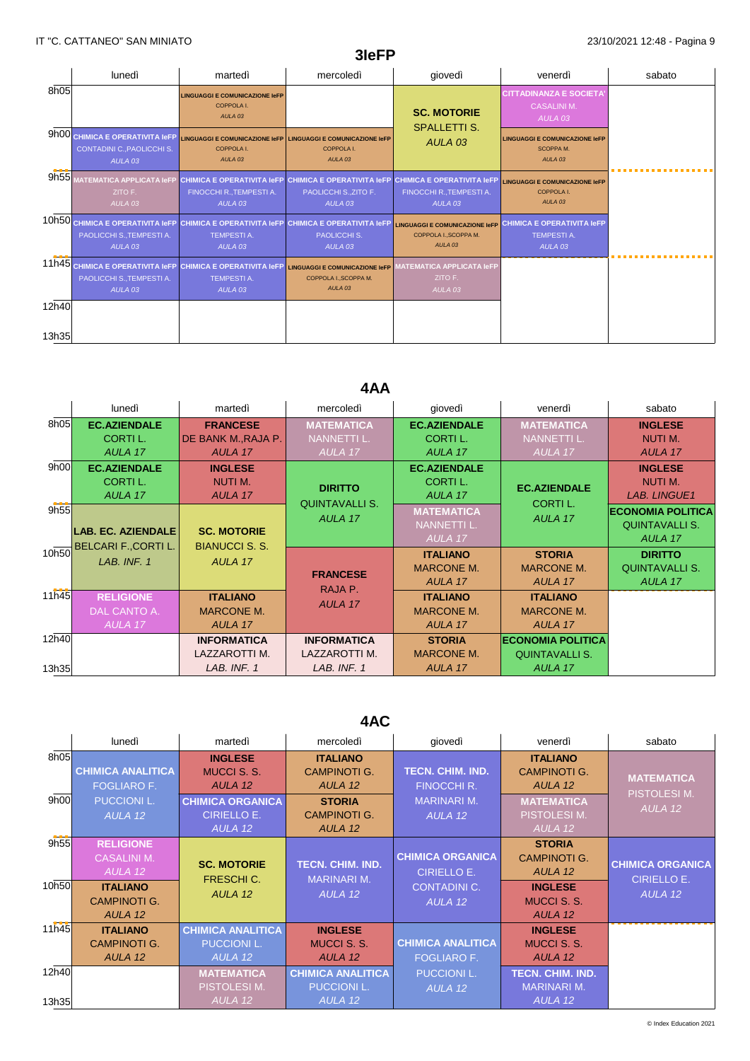|                | lunedì                                                                               | martedì                                                                                             | mercoledì                                                                                                                       | qiovedì                                                                              | venerdì                                                                       | sabato |
|----------------|--------------------------------------------------------------------------------------|-----------------------------------------------------------------------------------------------------|---------------------------------------------------------------------------------------------------------------------------------|--------------------------------------------------------------------------------------|-------------------------------------------------------------------------------|--------|
| 8h05           |                                                                                      | <b>LINGUAGGI E COMUNICAZIONE IeFP</b><br>COPPOLA I.<br>AULA <sub>03</sub>                           |                                                                                                                                 | <b>SC. MOTORIE</b><br><b>SPALLETTI S.</b>                                            | <b>CITTADINANZA E SOCIETA</b><br><b>CASALINI M.</b><br>AULA <sub>03</sub>     |        |
|                | 9h00 CHIMICA E OPERATIVITA IeFP<br>CONTADINI C., PAOLICCHI S.<br>AULA <sub>03</sub>  | <b>LINGUAGGI E COMUNICAZIONE IeFP</b><br>COPPOLA I.<br>AULA <sub>03</sub>                           | <b>LINGUAGGI E COMUNICAZIONE IeFP</b><br>COPPOLA I.<br>AULA <sub>03</sub>                                                       | AULA <sub>03</sub>                                                                   | <b>LINGUAGGI E COMUNICAZIONE IeFP</b><br>SCOPPA M.<br>AULA <sub>03</sub>      |        |
| 9h55           | <b>MATEMATICA APPLICATA IeFP</b><br>ZITO F.<br>AULA <sub>03</sub>                    | FINOCCHI R., TEMPESTI A.<br>AULA <sub>03</sub>                                                      | CHIMICA E OPERATIVITA IeFP CHIMICA E OPERATIVITA IeFP CHIMICA E OPERATIVITA IeFP<br>PAOLICCHI S., ZITO F.<br>AULA <sub>03</sub> | FINOCCHI R., TEMPESTI A.<br>AULA <sub>03</sub>                                       | <b>LINGUAGGI E COMUNICAZIONE IeFP</b><br>COPPOLA I.<br>AULA <sub>03</sub>     |        |
|                | 10h50 CHIMICA E OPERATIVITA IeFP<br>PAOLICCHI S., TEMPESTI A.<br>AULA <sub>03</sub>  | CHIMICA E OPERATIVITA I EPP CHIMICA E OPERATIVITA I EPP<br><b>TEMPESTI A.</b><br>AULA <sub>03</sub> | PAOLICCHI S.<br>AULA <sub>03</sub>                                                                                              | <b>LINGUAGGI E COMUNICAZIONE IeFP</b><br>COPPOLA I., SCOPPA M.<br>AULA <sub>03</sub> | <b>CHIMICA E OPERATIVITA IeFP</b><br><b>TEMPESTI A.</b><br>AULA <sub>03</sub> |        |
| 11h45          | <b>CHIMICA E OPERATIVITA IeFP</b><br>PAOLICCHI S., TEMPESTI A.<br>AULA <sub>03</sub> | <b>CHIMICA E OPERATIVITA IeFP</b><br><b>TEMPESTIA.</b><br>AULA <sub>03</sub>                        | <b>LINGUAGGI E COMUNICAZIONE IeFP</b><br>COPPOLA I., SCOPPA M.<br>AULA <sub>03</sub>                                            | <b>MATEMATICA APPLICATA IeFP</b><br>ZITO F.<br>AULA <sub>03</sub>                    |                                                                               |        |
| 12h40<br>13h35 |                                                                                      |                                                                                                     |                                                                                                                                 |                                                                                      |                                                                               |        |

**3IeFP**

# **4AA**

|       | lunedì                    | martedì               | mercoledì                               | giovedì             | venerdì                  | sabato                   |
|-------|---------------------------|-----------------------|-----------------------------------------|---------------------|--------------------------|--------------------------|
| 8h05  | <b>EC.AZIENDALE</b>       | <b>FRANCESE</b>       | <b>MATEMATICA</b>                       | <b>EC.AZIENDALE</b> | <b>MATEMATICA</b>        | <b>INGLESE</b>           |
|       | CORTI L.                  | DE BANK M., RAJA P.   | NANNETTI L.                             | CORTI L.            | <b>NANNETTI L.</b>       | NUTI M.                  |
|       | AULA 17                   | AULA 17               | AULA 17                                 | AULA 17             | AULA 17                  | AULA 17                  |
| 9h00  | <b>EC.AZIENDALE</b>       | <b>INGLESE</b>        |                                         | <b>EC.AZIENDALE</b> |                          | <b>INGLESE</b>           |
|       | CORTI L.                  | NUTI M.               | <b>DIRITTO</b><br><b>QUINTAVALLI S.</b> | CORTI L.            | <b>EC.AZIENDALE</b>      | NUTI M.                  |
|       | AULA 17                   | AULA 17               |                                         | AULA 17             | CORTI L.                 | <b>LAB. LINGUE1</b>      |
| 9h55  |                           |                       | AULA 17                                 | <b>MATEMATICA</b>   | AULA 17                  | <b>ECONOMIA POLITICA</b> |
|       | <b>LAB. EC. AZIENDALE</b> | <b>SC. MOTORIE</b>    |                                         | <b>NANNETTI L.</b>  |                          | <b>QUINTAVALLI S.</b>    |
|       | BELCARI F.,CORTI L.       | <b>BIANUCCI S. S.</b> |                                         | AULA 17             |                          | AULA 17                  |
| 10h50 | LAB. INF. 1               | AULA 17               |                                         | <b>ITALIANO</b>     | <b>STORIA</b>            | <b>DIRITTO</b>           |
|       |                           |                       | <b>FRANCESE</b>                         | <b>MARCONE M.</b>   | <b>MARCONE M.</b>        | <b>QUINTAVALLI S.</b>    |
|       |                           |                       | RAJA P.                                 | AULA 17             | AULA 17                  | AULA 17                  |
| 11h45 | <b>RELIGIONE</b>          | <b>ITALIANO</b>       | AULA 17                                 | <b>ITALIANO</b>     | <b>ITALIANO</b>          |                          |
|       | DAL CANTO A.              | <b>MARCONE M.</b>     |                                         | <b>MARCONE M.</b>   | <b>MARCONE M.</b>        |                          |
|       | AULA 17                   | AULA 17               |                                         | AULA 17             | AULA 17                  |                          |
| 12h40 |                           | <b>INFORMATICA</b>    | <b>INFORMATICA</b>                      | <b>STORIA</b>       | <b>ECONOMIA POLITICA</b> |                          |
|       |                           | LAZZAROTTI M.         | LAZZAROTTI M.                           | <b>MARCONE M.</b>   | <b>QUINTAVALLI S.</b>    |                          |
| 13h35 |                           | LAB. INF. 1           | LAB. INF. 1                             | AULA 17             | AULA 17                  |                          |

### **4AC**

|                | lunedì                                                                                                 | martedì                                                                                                     | mercoledì                                                                                            | giovedì                                                                         | venerdì                                                                                            | sabato                                                   |
|----------------|--------------------------------------------------------------------------------------------------------|-------------------------------------------------------------------------------------------------------------|------------------------------------------------------------------------------------------------------|---------------------------------------------------------------------------------|----------------------------------------------------------------------------------------------------|----------------------------------------------------------|
| 8h05<br>9h00   | <b>CHIMICA ANALITICA</b><br><b>FOGLIARO F.</b><br><b>PUCCIONI L.</b><br>AULA 12                        | <b>INGLESE</b><br><b>MUCCI S. S.</b><br>AULA 12<br><b>CHIMICA ORGANICA</b><br><b>CIRIELLO E.</b><br>AULA 12 | <b>ITALIANO</b><br><b>CAMPINOTI G.</b><br>AULA 12<br><b>STORIA</b><br><b>CAMPINOTI G.</b><br>AULA 12 | <b>TECN. CHIM. IND.</b><br><b>FINOCCHI R.</b><br><b>MARINARI M.</b><br>AULA 12  | <b>ITALIANO</b><br><b>CAMPINOTI G.</b><br>AULA 12<br><b>MATEMATICA</b><br>PISTOLESI M.<br>AULA 12  | <b>MATEMATICA</b><br>PISTOLESI M.<br>AULA 12             |
| 9h55<br>10h50  | <b>RELIGIONE</b><br><b>CASALINI M.</b><br>AULA 12<br><b>ITALIANO</b><br><b>CAMPINOTI G.</b><br>AULA 12 | <b>SC. MOTORIE</b><br><b>FRESCHIC.</b><br>AULA 12                                                           | <b>TECN. CHIM. IND.</b><br><b>MARINARI M.</b><br>AULA 12                                             | <b>CHIMICA ORGANICA</b><br><b>CIRIELLO E.</b><br><b>CONTADINI C.</b><br>AULA 12 | <b>STORIA</b><br><b>CAMPINOTI G.</b><br>AULA 12<br><b>INGLESE</b><br><b>MUCCI S. S.</b><br>AULA 12 | <b>CHIMICA ORGANICA</b><br><b>CIRIELLO E.</b><br>AULA 12 |
| 11h45          | <b>ITALIANO</b><br><b>CAMPINOTI G.</b><br>AULA 12                                                      | <b>CHIMICA ANALITICA</b><br><b>PUCCIONI L.</b><br>AULA 12                                                   | <b>INGLESE</b><br><b>MUCCI S.S.</b><br>AULA 12                                                       | <b>CHIMICA ANALITICA</b><br><b>FOGLIARO F.</b>                                  | <b>INGLESE</b><br><b>MUCCI S. S.</b><br>AULA 12                                                    |                                                          |
| 12h40<br>13h35 |                                                                                                        | <b>MATEMATICA</b><br>PISTOLESI M.<br>AULA 12                                                                | <b>CHIMICA ANALITICA</b><br><b>PUCCIONI L.</b><br>AULA 12                                            | <b>PUCCIONI L.</b><br>AULA 12                                                   | <b>TECN. CHIM. IND.</b><br><b>MARINARI M.</b><br>AULA 12                                           |                                                          |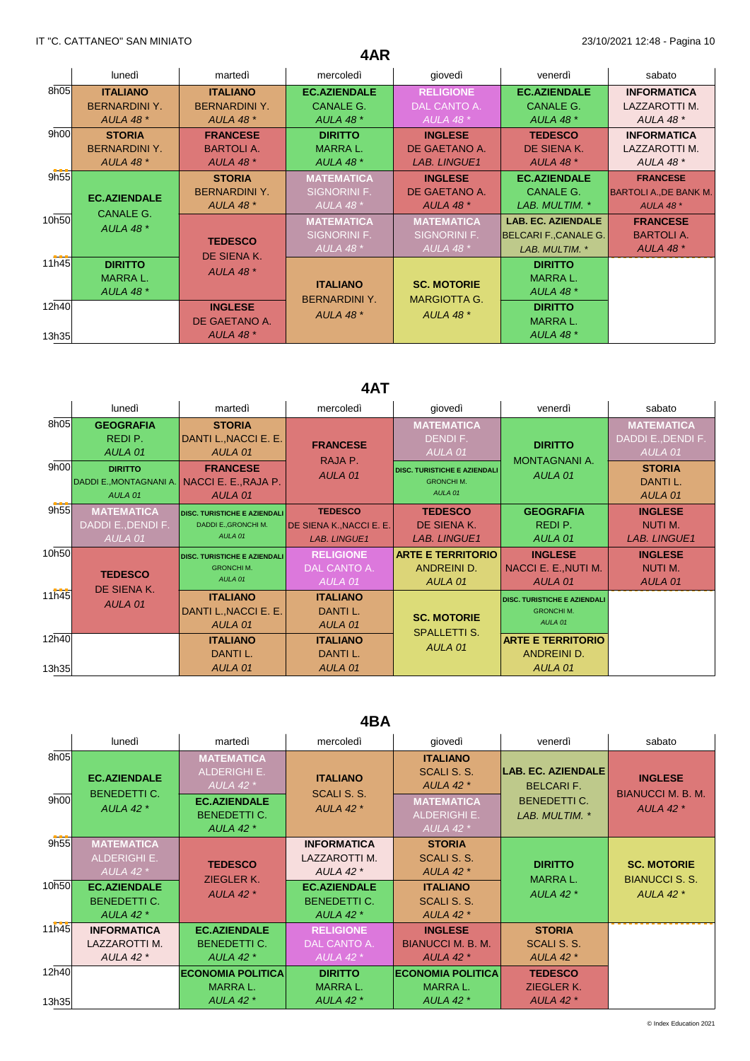|       | lunedì               | martedì              | mercoledì            | giovedì             | venerdì                      | sabato                        |
|-------|----------------------|----------------------|----------------------|---------------------|------------------------------|-------------------------------|
| 8h05  | <b>ITALIANO</b>      | <b>ITALIANO</b>      | <b>EC.AZIENDALE</b>  | <b>RELIGIONE</b>    | <b>EC.AZIENDALE</b>          | <b>INFORMATICA</b>            |
|       | <b>BERNARDINI Y.</b> | <b>BERNARDINI Y.</b> | <b>CANALE G.</b>     | DAL CANTO A.        | <b>CANALE G.</b>             | LAZZAROTTI M.                 |
|       | <b>AULA 48 *</b>     | <b>AULA 48 *</b>     | <b>AULA 48 *</b>     | AULA 48 $*$         | <b>AULA 48 *</b>             | AULA 48 *                     |
| 9h00  | <b>STORIA</b>        | <b>FRANCESE</b>      | <b>DIRITTO</b>       | <b>INGLESE</b>      | <b>TEDESCO</b>               | <b>INFORMATICA</b>            |
|       | <b>BERNARDINI Y.</b> | <b>BARTOLIA.</b>     | <b>MARRAL.</b>       | DE GAETANO A.       | DE SIENA K.                  | LAZZAROTTI M.                 |
|       | <b>AULA 48 *</b>     | <b>AULA 48 *</b>     | AULA 48 *            | <b>LAB. LINGUE1</b> | AULA 48 $*$                  | <b>AULA 48 *</b>              |
| 9h55  |                      | <b>STORIA</b>        | <b>MATEMATICA</b>    | <b>INGLESE</b>      | <b>EC.AZIENDALE</b>          | <b>FRANCESE</b>               |
|       | <b>EC.AZIENDALE</b>  | <b>BERNARDINI Y.</b> | SIGNORINI F.         | DE GAETANO A.       | <b>CANALE G.</b>             | <b>BARTOLI A., DE BANK M.</b> |
|       | <b>CANALE G.</b>     | AULA 48 $*$          | AULA 48 $*$          | <b>AULA 48 *</b>    | LAB. MULTIM. *               | <b>AULA 48 *</b>              |
| 10h50 |                      |                      | <b>MATEMATICA</b>    | <b>MATEMATICA</b>   | <b>LAB. EC. AZIENDALE</b>    | <b>FRANCESE</b>               |
|       | AULA 48 $*$          | <b>TEDESCO</b>       | SIGNORINI F.         | SIGNORINI F.        | <b>BELCARI F., CANALE G.</b> | <b>BARTOLIA.</b>              |
|       |                      | DE SIENA K.          | AULA 48 $*$          | AULA 48 $*$         | LAB. MULTIM. *               | <b>AULA 48 *</b>              |
| 11h45 | <b>DIRITTO</b>       |                      |                      |                     | <b>DIRITTO</b>               |                               |
|       | <b>MARRAL.</b>       | <b>AULA 48 *</b>     | <b>ITALIANO</b>      | <b>SC. MOTORIE</b>  | <b>MARRAL.</b>               |                               |
|       | <b>AULA 48 *</b>     |                      |                      |                     | <b>AULA 48 *</b>             |                               |
| 12h40 |                      | <b>INGLESE</b>       | <b>BERNARDINI Y.</b> | <b>MARGIOTTA G.</b> | <b>DIRITTO</b>               |                               |
|       |                      | DE GAETANO A.        | <b>AULA 48 *</b>     | AULA 48 $*$         | <b>MARRAL.</b>               |                               |
| 13h35 |                      | <b>AULA 48 *</b>     |                      |                     | AULA 48 $*$                  |                               |

**4AR**

# **4AT**

|                | lunedì                                                                                         | martedì                                                                                                 | mercoledì                                                         | giovedì                                                                                                        | venerdì                                                            | sabato                                                                                     |
|----------------|------------------------------------------------------------------------------------------------|---------------------------------------------------------------------------------------------------------|-------------------------------------------------------------------|----------------------------------------------------------------------------------------------------------------|--------------------------------------------------------------------|--------------------------------------------------------------------------------------------|
| 8h05<br>9h00   | <b>GEOGRAFIA</b><br>REDI P.<br>AULA 01<br><b>DIRITTO</b><br>DADDI E., MONTAGNANI A.<br>AULA 01 | <b>STORIA</b><br>DANTI L., NACCI E. E.<br>AULA 01<br><b>FRANCESE</b><br>NACCI E. E., RAJA P.<br>AULA 01 | <b>FRANCESE</b><br>RAJA P.<br>AULA 01                             | <b>MATEMATICA</b><br>DENDI F.<br>AULA 01<br><b>DISC. TURISTICHE E AZIENDALI</b><br><b>GRONCHIM.</b><br>AULA 01 | <b>DIRITTO</b><br><b>MONTAGNANI A.</b><br>AULA 01                  | <b>MATEMATICA</b><br>DADDI E., DENDI F.<br>AULA 01<br><b>STORIA</b><br>DANTI L.<br>AULA 01 |
| 9h55           | <b>MATEMATICA</b><br>DADDI E., DENDI F.<br>AULA 01                                             | <b>DISC. TURISTICHE E AZIENDALI</b><br>DADDI E., GRONCHI M.<br>AULA 01                                  | <b>TEDESCO</b><br>DE SIENA K., NACCI E. E.<br><b>LAB. LINGUE1</b> | <b>TEDESCO</b><br>DE SIENA K.<br><b>LAB. LINGUE1</b>                                                           | <b>GEOGRAFIA</b><br>REDI P.<br>AULA 01                             | <b>INGLESE</b><br>NUTI M.<br><b>LAB. LINGUE1</b>                                           |
| 10h50          | <b>TEDESCO</b>                                                                                 | <b>DISC. TURISTICHE E AZIENDALI</b><br><b>GRONCHIM.</b><br>AULA 01                                      | <b>RELIGIONE</b><br>DAL CANTO A.<br>AULA 01                       | <b>ARTE E TERRITORIO</b><br>ANDREINI D.<br>AULA 01                                                             | <b>INGLESE</b><br>NACCI E. E., NUTI M.<br>AULA 01                  | <b>INGLESE</b><br>NUTI M.<br>AULA 01                                                       |
| 11h45          | DE SIENA K.<br>AULA 01                                                                         | <b>ITALIANO</b><br>DANTI L., NACCI E. E.<br>AULA 01                                                     | <b>ITALIANO</b><br>DANTI L.<br>AULA 01                            | <b>SC. MOTORIE</b><br><b>SPALLETTI S.</b>                                                                      | <b>DISC. TURISTICHE E AZIENDALI</b><br><b>GRONCHIM.</b><br>AULA 01 |                                                                                            |
| 12h40<br>13h35 |                                                                                                | <b>ITALIANO</b><br>DANTI L.<br>AULA 01                                                                  | <b>ITALIANO</b><br>DANTI L.<br>AULA 01                            | AULA 01                                                                                                        | <b>ARTE E TERRITORIO</b><br>ANDREINI D.<br>AULA 01                 |                                                                                            |

## **4BA**

|              | lunedì                                                  | martedì                                                                                                              | mercoledì                                                 | giovedì                                                                                                  | venerdì                                                                         | sabato                                                         |
|--------------|---------------------------------------------------------|----------------------------------------------------------------------------------------------------------------------|-----------------------------------------------------------|----------------------------------------------------------------------------------------------------------|---------------------------------------------------------------------------------|----------------------------------------------------------------|
| 8h05<br>9h00 | <b>EC.AZIENDALE</b><br><b>BENEDETTI C.</b><br>AULA 42 * | <b>MATEMATICA</b><br><b>ALDERIGHI E.</b><br>AULA 42 $*$<br><b>EC.AZIENDALE</b><br><b>BENEDETTI C.</b><br>AULA 42 $*$ | <b>ITALIANO</b><br>SCALI S. S.<br>AULA 42 $*$             | <b>ITALIANO</b><br>SCALI S. S.<br>AULA 42 $*$<br><b>MATEMATICA</b><br><b>ALDERIGHI E.</b><br>AULA 42 $*$ | LAB. EC. AZIENDALE<br><b>BELCARIF.</b><br><b>BENEDETTI C.</b><br>LAB. MULTIM. * | <b>INGLESE</b><br><b>BIANUCCI M. B. M.</b><br><b>AULA 42 *</b> |
| 9h55         | <b>MATEMATICA</b><br>ALDERIGHI E.<br>AULA 42 $*$        | <b>TEDESCO</b><br>ZIEGLER K.<br>AULA 42 $*$                                                                          | <b>INFORMATICA</b><br>LAZZAROTTI M.<br>AULA 42 $*$        | <b>STORIA</b><br>SCALI S. S.<br><b>AULA 42 *</b>                                                         | <b>DIRITTO</b><br><b>MARRAL.</b><br>AULA 42 $*$                                 | <b>SC. MOTORIE</b><br><b>BIANUCCI S. S.</b><br>AULA 42 $*$     |
| 10h50        | <b>EC.AZIENDALE</b><br><b>BENEDETTI C.</b><br>AULA 42 * |                                                                                                                      | <b>EC.AZIENDALE</b><br><b>BENEDETTI C.</b><br>AULA 42 $*$ | <b>ITALIANO</b><br>SCALI S. S.<br>AULA 42 $*$                                                            |                                                                                 |                                                                |
| 11h45        | <b>INFORMATICA</b><br>LAZZAROTTI M.                     | <b>EC.AZIENDALE</b><br><b>BENEDETTI C.</b>                                                                           | <b>RELIGIONE</b><br>DAL CANTO A.                          | <b>INGLESE</b><br><b>BIANUCCI M. B. M.</b>                                                               | <b>STORIA</b><br>SCALI S. S.                                                    |                                                                |
|              | AULA 42 $*$                                             | AULA 42 $*$                                                                                                          | AULA 42 $*$                                               | <b>AULA 42 *</b>                                                                                         | <b>AULA 42 *</b>                                                                |                                                                |
| 12h40        |                                                         | <b>ECONOMIA POLITICA</b><br><b>MARRAL.</b><br>AULA 42 $*$                                                            | <b>DIRITTO</b><br><b>MARRAL.</b><br><b>AULA 42 *</b>      | <b>ECONOMIA POLITICA</b><br><b>MARRAL.</b><br>AULA 42 $*$                                                | <b>TEDESCO</b><br>ZIEGLER K.<br>AULA 42 $*$                                     |                                                                |
| 13h35        |                                                         |                                                                                                                      |                                                           |                                                                                                          |                                                                                 |                                                                |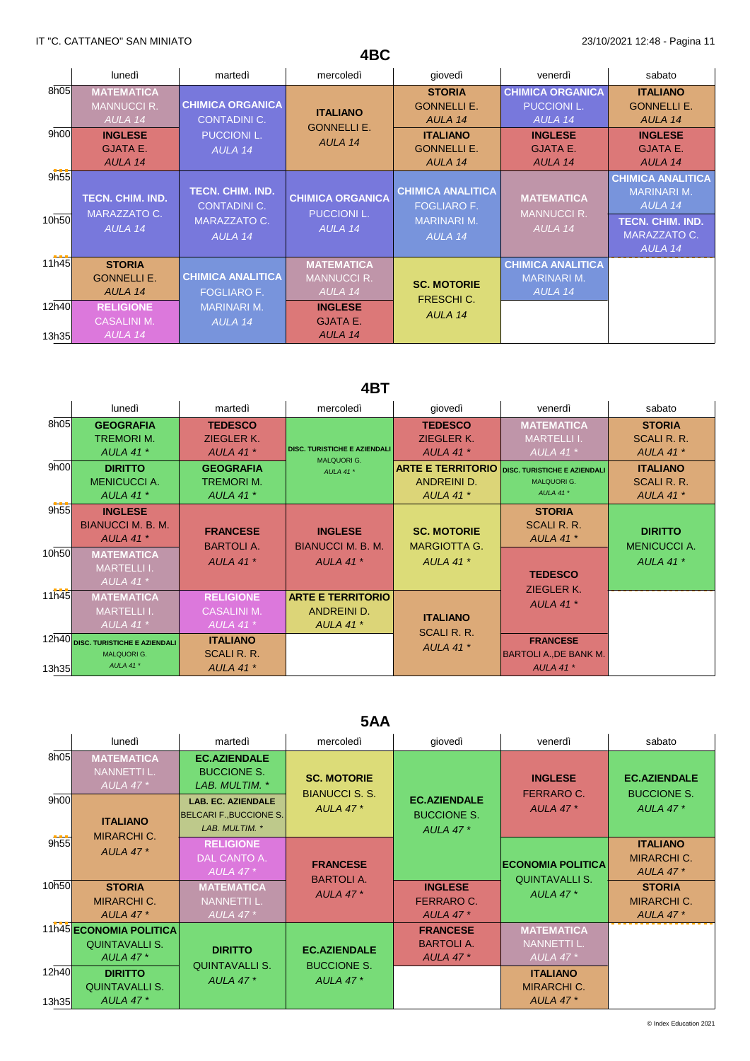|                | lunedì                                             | martedì                                                                  | mercoledì                                          | giovedì                                          | venerdì                                                   | sabato                                                    |
|----------------|----------------------------------------------------|--------------------------------------------------------------------------|----------------------------------------------------|--------------------------------------------------|-----------------------------------------------------------|-----------------------------------------------------------|
| 8h05           | <b>MATEMATICA</b><br><b>MANNUCCI R.</b><br>AULA 14 | <b>CHIMICA ORGANICA</b><br><b>CONTADINI C.</b><br>PUCCIONI L.<br>AULA 14 | <b>ITALIANO</b><br><b>GONNELLI E.</b><br>AULA 14   | <b>STORIA</b><br><b>GONNELLI E.</b><br>AULA 14   | <b>CHIMICA ORGANICA</b><br><b>PUCCIONI L.</b><br>AULA 14  | <b>ITALIANO</b><br><b>GONNELLI E.</b><br>AULA 14          |
| 9h00           | <b>INGLESE</b><br><b>GJATA E.</b><br>AULA 14       |                                                                          |                                                    | <b>ITALIANO</b><br><b>GONNELLI E.</b><br>AULA 14 | <b>INGLESE</b><br><b>GJATA E.</b><br>AULA 14              | <b>INGLESE</b><br><b>GJATA E.</b><br>AULA 14              |
| 9h55           | <b>TECN. CHIM. IND.</b><br>MARAZZATO C.            | <b>TECN. CHIM. IND.</b><br><b>CONTADINI C.</b>                           | <b>CHIMICA ORGANICA</b><br><b>PUCCIONI L.</b>      | <b>CHIMICA ANALITICA</b><br><b>FOGLIARO F.</b>   | <b>MATEMATICA</b><br><b>MANNUCCI R.</b>                   | <b>CHIMICA ANALITICA</b><br><b>MARINARI M.</b><br>AULA 14 |
| 10h50          | AULA 14                                            | MARAZZATO C.<br>AULA 14                                                  | AULA 14                                            | <b>MARINARI M.</b><br>AULA 14                    | AULA 14                                                   | <b>TECN. CHIM. IND.</b><br>MARAZZATO C.<br>AULA 14        |
| 11h45          | <b>STORIA</b><br><b>GONNELLI E.</b><br>AULA 14     | <b>CHIMICA ANALITICA</b><br><b>FOGLIARO F.</b>                           | <b>MATEMATICA</b><br><b>MANNUCCI R.</b><br>AULA 14 | <b>SC. MOTORIE</b><br>FRESCHI C.                 | <b>CHIMICA ANALITICA</b><br><b>MARINARI M.</b><br>AULA 14 |                                                           |
| 12h40<br>13h35 | <b>RELIGIONE</b><br><b>CASALINI M.</b><br>AULA 14  | <b>MARINARI M.</b><br>AULA 14                                            | <b>INGLESE</b><br><b>GJATA E.</b><br>AULA 14       | AULA 14                                          |                                                           |                                                           |

**4BC**

## **4BT**

|               | lunedì                                                                                                      | martedì                                               | mercoledì                                                      | giovedì                                                                             | venerdì                                                              | sabato                                                  |
|---------------|-------------------------------------------------------------------------------------------------------------|-------------------------------------------------------|----------------------------------------------------------------|-------------------------------------------------------------------------------------|----------------------------------------------------------------------|---------------------------------------------------------|
| 8h05          | <b>GEOGRAFIA</b><br><b>TREMORIM.</b><br>AULA 41 $*$                                                         | <b>TEDESCO</b><br>ZIEGLER K.<br><b>AULA 41 *</b>      | <b>DISC. TURISTICHE E AZIENDALI</b><br><b>MALQUORI G.</b>      | <b>TEDESCO</b><br>ZIEGLER K.<br>AULA 41 $*$                                         | <b>MATEMATICA</b><br><b>MARTELLII.</b><br>AULA 41 $*$                | <b>STORIA</b><br><b>SCALI R. R.</b><br><b>AULA 41 *</b> |
| 9h00          | <b>DIRITTO</b><br><b>MENICUCCI A.</b><br>AULA 41 $*$                                                        | <b>GEOGRAFIA</b><br><b>TREMORIM.</b><br>AULA 41 $*$   | AULA 41*                                                       | <b>ARTE E TERRITORIO</b> DISC. TURISTICHE E AZIENDALI<br>ANDREINI D.<br>AULA 41 $*$ | <b>MALQUORI G.</b><br>AULA 41 $*$                                    | <b>ITALIANO</b><br>SCALI R. R.<br><b>AULA 41 *</b>      |
| 9h55<br>10h50 | <b>INGLESE</b><br>BIANUCCI M. B. M.<br>AULA 41 $*$<br><b>MATEMATICA</b><br><b>MARTELLII.</b><br>AULA 41 $*$ | <b>FRANCESE</b><br><b>BARTOLIA.</b><br>AULA 41 $*$    | <b>INGLESE</b><br><b>BIANUCCI M. B. M.</b><br><b>AULA 41 *</b> | <b>SC. MOTORIE</b><br><b>MARGIOTTA G.</b><br>AULA 41 $*$                            | <b>STORIA</b><br>SCALI R. R.<br>AULA 41 $*$<br><b>TEDESCO</b>        | <b>DIRITTO</b><br><b>MENICUCCI A.</b><br>AULA 41 $*$    |
| 11h45         | <b>MATEMATICA</b><br><b>MARTELLI I.</b><br>AULA 41 $*$                                                      | <b>RELIGIONE</b><br><b>CASALINI M.</b><br>AULA 41 $*$ | <b>ARTE E TERRITORIO</b><br>ANDREINI D.<br>AULA 41 $*$         | <b>ITALIANO</b><br>SCALI R. R.                                                      | ZIEGLER K.<br>AULA 41 $*$                                            |                                                         |
| 13h35         | 12h40 DISC. TURISTICHE E AZIENDALI<br><b>MALQUORI G.</b><br>AULA 41*                                        | <b>ITALIANO</b><br>SCALI R. R.<br>AULA 41 $*$         |                                                                | AULA 41 $*$                                                                         | <b>FRANCESE</b><br><b>BARTOLI A., DE BANK M.</b><br><b>AULA 41 *</b> |                                                         |

## **5AA**

|                | lunedì                                                                    | martedì                                                                                                                                      | mercoledì                                                      | giovedì                                                  | venerdì                                                  | sabato                                                       |
|----------------|---------------------------------------------------------------------------|----------------------------------------------------------------------------------------------------------------------------------------------|----------------------------------------------------------------|----------------------------------------------------------|----------------------------------------------------------|--------------------------------------------------------------|
| 8h05<br>9h00   | <b>MATEMATICA</b><br><b>NANNETTI L.</b><br>AULA 47 $*$<br><b>ITALIANO</b> | <b>EC.AZIENDALE</b><br><b>BUCCIONE S.</b><br>LAB. MULTIM. *<br><b>LAB. EC. AZIENDALE</b><br><b>BELCARI F., BUCCIONE S.</b><br>LAB. MULTIM. * | <b>SC. MOTORIE</b><br><b>BIANUCCI S. S.</b><br><b>AULA 47*</b> | <b>EC.AZIENDALE</b><br><b>BUCCIONE S.</b><br>AULA 47 $*$ | <b>INGLESE</b><br><b>FERRARO C.</b><br>AULA 47 $*$       | <b>EC.AZIENDALE</b><br><b>BUCCIONE S.</b><br><b>AULA 47*</b> |
| 9h55           | <b>MIRARCHI C.</b><br><b>AULA 47*</b>                                     | <b>RELIGIONE</b><br>DAL CANTO A.<br>AULA 47 $*$                                                                                              | <b>FRANCESE</b>                                                |                                                          | <b>ECONOMIA POLITICA</b>                                 | <b>ITALIANO</b><br><b>MIRARCHI C.</b><br><b>AULA 47*</b>     |
| 10h50          | <b>STORIA</b><br><b>MIRARCHI C.</b><br><b>AULA 47*</b>                    | <b>MATEMATICA</b><br><b>NANNETTI L.</b><br>AULA 47 $*$                                                                                       | <b>BARTOLIA.</b><br><b>AULA 47*</b>                            | <b>INGLESE</b><br><b>FERRARO C.</b><br><b>AULA 47*</b>   | <b>QUINTAVALLI S.</b><br><b>AULA 47*</b>                 | <b>STORIA</b><br><b>MIRARCHI C.</b><br><b>AULA 47*</b>       |
|                | 11h45 ECONOMIA POLITICA<br><b>QUINTAVALLI S.</b><br><b>AULA 47*</b>       | <b>DIRITTO</b>                                                                                                                               | <b>EC.AZIENDALE</b>                                            | <b>FRANCESE</b><br><b>BARTOLIA.</b><br><b>AULA 47*</b>   | <b>MATEMATICA</b><br><b>NANNETTI L.</b><br>AULA 47 $*$   |                                                              |
| 12h40<br>13h35 | <b>DIRITTO</b><br><b>QUINTAVALLI S.</b><br><b>AULA 47*</b>                | <b>QUINTAVALLI S.</b><br>AULA 47 $*$                                                                                                         | <b>BUCCIONE S.</b><br><b>AULA 47*</b>                          |                                                          | <b>ITALIANO</b><br><b>MIRARCHI C.</b><br><b>AULA 47*</b> |                                                              |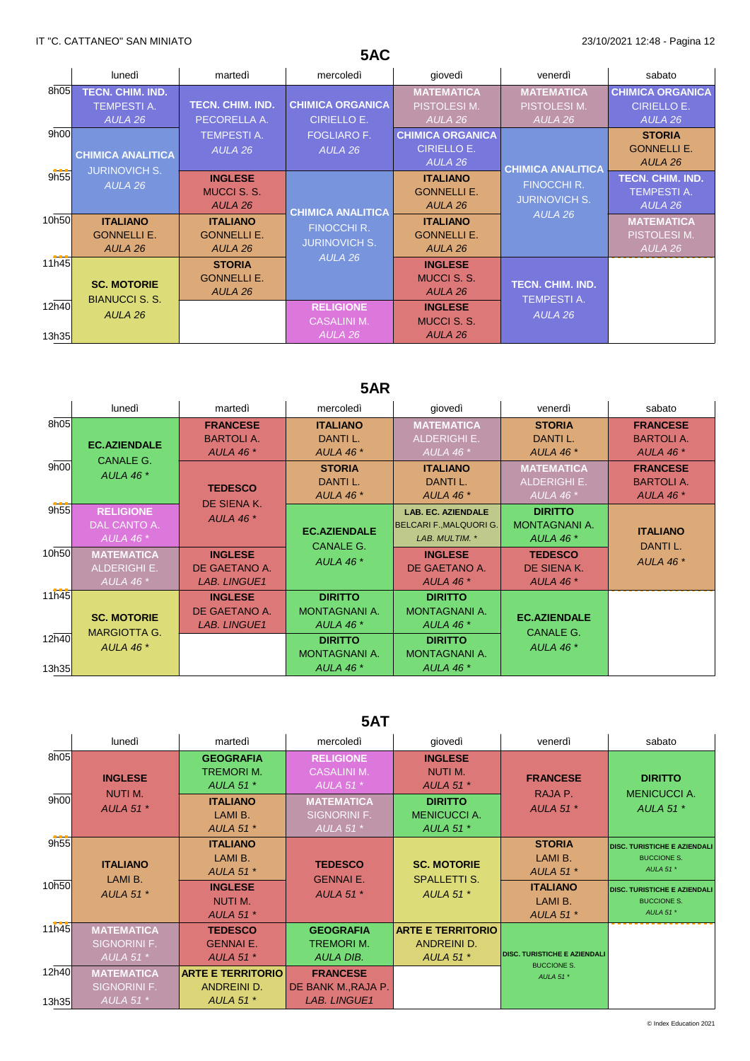# **5AC**

|                | lunedì                                                 | martedì                                          | mercoledì                                                              | giovedì                                          | venerdì                             | sabato                                                   |
|----------------|--------------------------------------------------------|--------------------------------------------------|------------------------------------------------------------------------|--------------------------------------------------|-------------------------------------|----------------------------------------------------------|
| 8h05           | <b>TECN. CHIM. IND.</b>                                |                                                  |                                                                        | <b>MATEMATICA</b>                                | <b>MATEMATICA</b>                   | <b>CHIMICA ORGANICA</b>                                  |
|                | <b>TEMPESTI A.</b>                                     | <b>TECN. CHIM. IND.</b>                          | <b>CHIMICA ORGANICA</b>                                                | PISTOLESI M.                                     | PISTOLESI M.                        | <b>CIRIELLO E.</b>                                       |
|                | AULA 26                                                | PECORELLA A.                                     | CIRIELLO E.                                                            | AULA 26                                          | AULA 26                             | AULA 26                                                  |
| 9h00           |                                                        | <b>TEMPESTI A.</b>                               | <b>FOGLIARO F.</b>                                                     | <b>CHIMICA ORGANICA</b>                          |                                     | <b>STORIA</b>                                            |
|                | <b>CHIMICA ANALITICA</b>                               | AULA 26                                          | AULA 26                                                                | <b>CIRIELLO E.</b>                               |                                     | <b>GONNELLI E.</b>                                       |
|                | <b>JURINOVICH S.</b>                                   |                                                  |                                                                        | AULA 26                                          | <b>CHIMICA ANALITICA</b>            | AULA 26                                                  |
| 9h55           | AULA 26                                                | <b>INGLESE</b><br><b>MUCCI S. S.</b><br>AULA 26  |                                                                        | <b>ITALIANO</b><br><b>GONNELLI E.</b><br>AULA 26 | FINOCCHI R.<br><b>JURINOVICH S.</b> | <b>TECN. CHIM. IND.</b><br><b>TEMPESTI A.</b><br>AULA 26 |
| 10h50          | <b>ITALIANO</b><br><b>GONNELLI E.</b><br>AULA 26       | <b>ITALIANO</b><br><b>GONNELLI E.</b><br>AULA 26 | <b>CHIMICA ANALITICA</b><br><b>FINOCCHI R.</b><br><b>JURINOVICH S.</b> | <b>ITALIANO</b><br><b>GONNELLI E.</b><br>AULA 26 | AULA 26                             | <b>MATEMATICA</b><br>PISTOLESI M.<br>AULA 26             |
| 11h45          | <b>SC. MOTORIE</b><br><b>BIANUCCI S. S.</b><br>AULA 26 | <b>STORIA</b><br><b>GONNELLI E.</b><br>AULA 26   | AULA 26                                                                | <b>INGLESE</b><br><b>MUCCI S. S.</b><br>AULA 26  | <b>TECN. CHIM. IND.</b>             |                                                          |
| 12h40<br>13h35 |                                                        |                                                  | <b>RELIGIONE</b><br><b>CASALINI M.</b><br>AULA 26                      | <b>INGLESE</b><br><b>MUCCI S. S.</b><br>AULA 26  | <b>TEMPESTIA.</b><br>AULA 26        |                                                          |

# **5AR**

|                | lunedì                                                  | martedì                                                 | mercoledì                                           | giovedì                                                                       | venerdì                                                 | sabato                                                  |
|----------------|---------------------------------------------------------|---------------------------------------------------------|-----------------------------------------------------|-------------------------------------------------------------------------------|---------------------------------------------------------|---------------------------------------------------------|
| 8h05           | <b>EC.AZIENDALE</b>                                     | <b>FRANCESE</b><br><b>BARTOLIA.</b><br><b>AULA 46 *</b> | <b>ITALIANO</b><br>DANTI L.<br><b>AULA 46 *</b>     | <b>MATEMATICA</b><br><b>ALDERIGHI E.</b><br>AULA 46 $*$                       | <b>STORIA</b><br>DANTI L.<br>AULA 46 $*$                | <b>FRANCESE</b><br><b>BARTOLIA.</b><br><b>AULA 46 *</b> |
| 9h00           | <b>CANALE G.</b><br>AULA 46 $*$                         | <b>TEDESCO</b><br>DE SIENA K.                           | <b>STORIA</b><br>DANTI L.<br>AULA 46 $*$            | <b>ITALIANO</b><br>DANTI L.<br>AULA 46 $*$                                    | <b>MATEMATICA</b><br><b>ALDERIGHI E.</b><br>AULA 46 $*$ | <b>FRANCESE</b><br><b>BARTOLIA.</b><br><b>AULA 46 *</b> |
| 9h55           | <b>RELIGIONE</b><br>DAL CANTO A.<br>AULA 46 $*$         | <b>AULA 46 *</b>                                        | <b>EC.AZIENDALE</b><br><b>CANALE G.</b>             | <b>LAB. EC. AZIENDALE</b><br><b>BELCARI F., MALQUORI G.</b><br>LAB. MULTIM. * | <b>DIRITTO</b><br><b>MONTAGNANI A.</b><br>AULA 46 $*$   | <b>ITALIANO</b><br>DANTI L.                             |
| 10h50          | <b>MATEMATICA</b><br><b>ALDERIGHI E.</b><br>AULA 46 $*$ | <b>INGLESE</b><br>DE GAETANO A.<br><b>LAB. LINGUE1</b>  | <b>AULA 46 *</b>                                    | <b>INGLESE</b><br>DE GAETANO A.<br><b>AULA 46 *</b>                           | <b>TEDESCO</b><br>DE SIENA K.<br><b>AULA 46 *</b>       | <b>AULA 46 *</b>                                        |
| 11h45          | <b>SC. MOTORIE</b>                                      | <b>INGLESE</b><br>DE GAETANO A.<br><b>LAB. LINGUE1</b>  | <b>DIRITTO</b><br>MONTAGNANI A.<br>AULA 46 *        | <b>DIRITTO</b><br><b>MONTAGNANI A.</b><br><b>AULA 46 *</b>                    | <b>EC.AZIENDALE</b><br><b>CANALE G.</b>                 |                                                         |
| 12h40<br>13h35 | <b>MARGIOTTA G.</b><br>AULA 46 $*$                      |                                                         | <b>DIRITTO</b><br>MONTAGNANI A.<br><b>AULA 46 *</b> | <b>DIRITTO</b><br><b>MONTAGNANI A.</b><br><b>AULA 46 *</b>                    | AULA 46 $*$                                             |                                                         |

## **5AT**

|              | lunedì                                           | martedì                                                                     | mercoledì                                                                       | giovedì                                                                | venerdì                                                   | sabato                                                                   |
|--------------|--------------------------------------------------|-----------------------------------------------------------------------------|---------------------------------------------------------------------------------|------------------------------------------------------------------------|-----------------------------------------------------------|--------------------------------------------------------------------------|
| 8h05<br>9h00 | <b>INGLESE</b><br><b>NUTIM.</b>                  | <b>GEOGRAFIA</b><br><b>TREMORIM.</b><br><b>AULA 51 *</b><br><b>ITALIANO</b> | <b>RELIGIONE</b><br><b>CASALINI M.</b><br><b>AULA 51 *</b><br><b>MATEMATICA</b> | <b>INGLESE</b><br><b>NUTI M.</b><br><b>AULA 51 *</b><br><b>DIRITTO</b> | <b>FRANCESE</b><br>RAJA P.                                | <b>DIRITTO</b><br><b>MENICUCCI A.</b>                                    |
|              | <b>AULA 51 *</b>                                 | LAMI B.<br><b>AULA 51 *</b>                                                 | <b>SIGNORINI F.</b><br>AULA 51 $*$                                              | <b>MENICUCCIA.</b><br><b>AULA 51 *</b>                                 | <b>AULA 51 *</b>                                          | <b>AULA 51 *</b>                                                         |
| 9h55         | <b>ITALIANO</b><br>LAMI B.                       | <b>ITALIANO</b><br>LAMI B.<br><b>AULA 51 *</b>                              | <b>TEDESCO</b><br><b>GENNAI E.</b>                                              | <b>SC. MOTORIE</b><br><b>SPALLETTI S.</b>                              | <b>STORIA</b><br>LAMI B.<br><b>AULA 51 *</b>              | <b>DISC. TURISTICHE E AZIENDALI</b><br><b>BUCCIONE S.</b><br>AULA 51 $*$ |
| 10h50        | <b>AULA 51 *</b>                                 | <b>INGLESE</b><br>NUTI M.<br><b>AULA 51 *</b>                               | <b>AULA 51 *</b>                                                                | AULA 51 $*$                                                            | <b>ITALIANO</b><br>LAMI B.<br><b>AULA 51 *</b>            | <b>DISC. TURISTICHE E AZIENDALI</b><br><b>BUCCIONE S.</b><br>AULA 51*    |
| 11h45        | <b>MATEMATICA</b><br>SIGNORINI F.<br>AULA 51 $*$ | <b>TEDESCO</b><br><b>GENNAI E.</b><br><b>AULA 51 *</b>                      | <b>GEOGRAFIA</b><br><b>TREMORIM.</b><br><b>AULA DIB.</b>                        | <b>ARTE E TERRITORIO</b><br><b>ANDREINI D.</b><br><b>AULA 51 *</b>     | <b>DISC. TURISTICHE E AZIENDALI</b><br><b>BUCCIONE S.</b> |                                                                          |
| 12h40        | <b>MATEMATICA</b><br><b>SIGNORINI F.</b>         | <b>ARTE E TERRITORIO</b><br>ANDREINI D.                                     | <b>FRANCESE</b><br><b>DE BANK M.,RAJA P.</b>                                    |                                                                        | AULA 51*                                                  |                                                                          |
| 13h35        | AULA 51 $*$                                      | <b>AULA 51 *</b>                                                            | <b>LAB. LINGUE1</b>                                                             |                                                                        |                                                           |                                                                          |